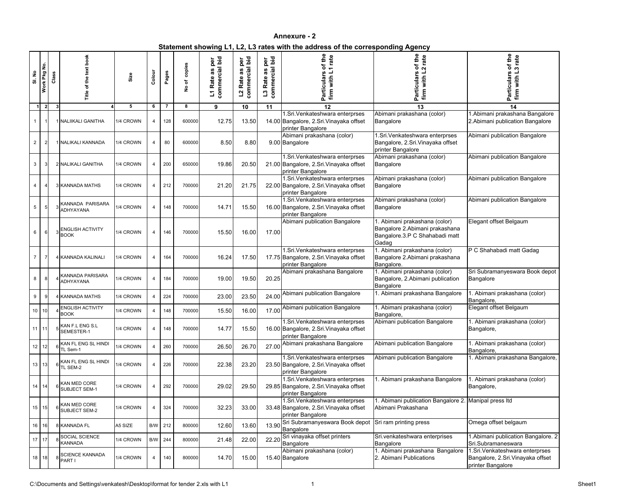**Statement showing L1, L2, L3 rates with the address of the corresponding Agency**

| SI. No          | Work Pkg No.   | Class | ă<br>text<br>the<br>č                  | Size      | Colour         | Pages | copies<br>৳<br>$\tilde{\mathbf{z}}$ | commercial bid<br>per<br>ဖာ<br>æ<br>Rate<br>$\overline{\mathbf{L}}$ | commercial bid<br>per<br>S.<br>æ<br>Rate<br>$\overline{\mathbf{c}}$ | bid<br>per<br>cial<br>S.<br>æ<br>ate<br>commer<br>L3R | of the<br>rate<br>Particulars<br>firm with L                                                    | the<br>rate<br>ቴ<br>$\sim$<br>Particular<br>with<br>firm                                                   | of the<br>rate<br>ო<br><b>Particulars</b><br>with<br>firm                                 |
|-----------------|----------------|-------|----------------------------------------|-----------|----------------|-------|-------------------------------------|---------------------------------------------------------------------|---------------------------------------------------------------------|-------------------------------------------------------|-------------------------------------------------------------------------------------------------|------------------------------------------------------------------------------------------------------------|-------------------------------------------------------------------------------------------|
|                 | $\overline{2}$ | -31   |                                        | 5         | 6              | -7    | 8                                   | 9                                                                   | 10                                                                  | 11                                                    | 12                                                                                              | 13                                                                                                         | 14                                                                                        |
|                 |                |       | 1 NALIIKALI GANITHA                    | 1/4 CROWN | 4              | 128   | 600000                              | 12.75                                                               | 13.50                                                               |                                                       | 1.Sri. Venkateshwara enterprses<br>14.00 Bangalore, 2.Sri. Vinayaka offset<br>printer Bangalore | Abimani prakashana (color)<br>Bangalore                                                                    | .Abimani prakashana Bangalore<br>2. Abimani publication Bangalore                         |
| $\overline{2}$  |                |       | 1 NALIKALI KANNADA                     | 1/4 CROWN | 4              | 80    | 600000                              | 8.50                                                                | 8.80                                                                |                                                       | Abimani prakashana (color)<br>9.00 Bangalore                                                    | 1.Sri. Venkateshwara enterprses<br>Bangalore, 2.Sri. Vinayaka offset<br>printer Bangalore                  | Abimani publication Bangalore                                                             |
| 3               |                |       | 2 NALIKALI GANITHA                     | 1/4 CROWN | 4              | 200   | 650000                              | 19.86                                                               | 20.50                                                               |                                                       | 1.Sri. Venkateshwara enterprses<br>21.00 Bangalore, 2.Sri. Vinayaka offset<br>printer Bangalore | Abimani prakashana (color)<br>Bangalore                                                                    | Abimani publication Bangalore                                                             |
| 4               |                |       | <b>3 KANNADA MATHS</b>                 | 1/4 CROWN | 4              | 212   | 700000                              | 21.20                                                               | 21.75                                                               |                                                       | 1.Sri. Venkateshwara enterprses<br>22.00 Bangalore, 2.Sri. Vinayaka offset<br>printer Bangalore | Abimani prakashana (color)<br>Bangalore                                                                    | Abimani publication Bangalore                                                             |
| 5               |                |       | KANNADA PARISARA<br>ADHYAYANA          | 1/4 CROWN | 4              | 148   | 700000                              | 14.71                                                               | 15.50                                                               |                                                       | 1.Sri. Venkateshwara enterprses<br>16.00 Bangalore, 2.Sri. Vinayaka offset<br>printer Bangalore | Abimani prakashana (color)<br>Bangalore                                                                    | Abimani publication Bangalore                                                             |
| 6               |                |       | <b>ENGLISH ACTIVITY</b><br><b>BOOK</b> | 1/4 CROWN | 4              | 146   | 700000                              | 15.50                                                               | 16.00                                                               | 17.00                                                 | Abimani publication Bangalore                                                                   | I. Abimani prakashana (color)<br>Bangalore 2.Abimani prakashana<br>Bangalore.3.P C Shahabadi matt<br>Gadag | Elegant offset Belgaum                                                                    |
| $\overline{7}$  |                |       | KANNADA KALINALI                       | 1/4 CROWN | 4              | 164   | 700000                              | 16.24                                                               | 17.50                                                               |                                                       | 1.Sri. Venkateshwara enterprses<br>17.75 Bangalore, 2.Sri. Vinayaka offset<br>printer Bangalore | 1. Abimani prakashana (color)<br>Bangalore 2.Abimani prakashana<br>Bangalore.                              | P C Shahabadi matt Gadag                                                                  |
| 8               |                |       | <b>KANNADA PARISARA</b><br>ADHYAYANA   | 1/4 CROWN | 4              | 184   | 700000                              | 19.00                                                               | 19.50                                                               | 20.25                                                 | Abimani prakashana Bangalore                                                                    | 1. Abimani prakashana (color)<br>Bangalore, 2.Abimani publication<br>Bangalore                             | Sri Subramanyeswara Book depot<br>Bangalore                                               |
| 9               |                |       | <b>KANNADA MATHS</b>                   | 1/4 CROWN | 4              | 224   | 700000                              | 23.00                                                               | 23.50                                                               | 24.00                                                 | Abimani publication Bangalore                                                                   | 1. Abimani prakashana Bangalore                                                                            | . Abimani prakashana (color)<br>Bangalore,                                                |
| 10 <sup>°</sup> | 10             |       | ENGLISH ACTIVITY<br><b>BOOK</b>        | 1/4 CROWN | 4              | 148   | 700000                              | 15.50                                                               | 16.00                                                               | 17.00                                                 | Abimani publication Bangalore                                                                   | I. Abimani prakashana (color)<br>Bangalore,                                                                | Elegant offset Belgaum                                                                    |
| 11              | 11             |       | KAN F.L ENG S.L<br>SEMESTER-1          | 1/4 CROWN | 4              | 148   | 700000                              | 14.77                                                               | 15.50                                                               |                                                       | 1.Sri. Venkateshwara enterprses<br>16.00 Bangalore, 2.Sri. Vinayaka offset<br>printer Bangalore | Abimani publication Bangalore                                                                              | . Abimani prakashana (color)<br>Bangalore,                                                |
| 12              | 12             |       | KAN FL ENG SL HINDI<br>TL Sem-1        | 1/4 CROWN | $\overline{4}$ | 260   | 700000                              | 26.50                                                               | 26.70                                                               | 27.00                                                 | Abimani prakashana Bangalore                                                                    | Abimani publication Bangalore                                                                              | . Abimani prakashana (color)<br>Bangalore,                                                |
|                 | $13$ 13        |       | KAN FL ENG SL HINDI<br>TL SEM-2        | 1/4 CROWN | 4              | 226   | 700000                              | 22.38                                                               | 23.20                                                               |                                                       | 1.Sri. Venkateshwara enterprses<br>23.50 Bangalore, 2.Sri. Vinayaka offset<br>printer Bangalore | Abimani publication Bangalore                                                                              | . Abimani prakashana Bangalore,                                                           |
| 14              |                |       | KAN MED CORE<br><b>SUBJECT SEM-1</b>   | 1/4 CROWN | 4              | 292   | 700000                              | 29.02                                                               | 29.50                                                               |                                                       | 1.Sri. Venkateshwara enterprses<br>29.85 Bangalore, 2.Sri. Vinayaka offset<br>printer Bangalore | . Abimani prakashana Bangalore                                                                             | . Abimani prakashana (color)<br>Bangalore,                                                |
| 15              | -15            |       | KAN MED CORE<br>SUBJECT SEM-2          | 1/4 CROWN | 4              | 324   | 700000                              | 32.23                                                               | 33.00                                                               |                                                       | 1.Sri. Venkateshwara enterprses<br>33.48 Bangalore, 2.Sri. Vinayaka offset<br>printer Bangalore | . Abimani publication Bangalore 2. Manipal press Itd<br>Abimani Prakashana                                 |                                                                                           |
| 16              | 16             |       | 8 KANNADA FL                           | A5 SIZE   | B/W            | 212   | 800000                              | 12.60                                                               | 13.60                                                               | 13.90                                                 | Sri Subramanyeswara Book depot<br>Bangalore                                                     | Sri ram printing press                                                                                     | Omega offset belgaum                                                                      |
|                 | $17$ 17        |       | SOCIAL SCIENCE<br><b>KANNADA</b>       | 1/4 CROWN | B/W            | 244   | 800000                              | 21.48                                                               | 22.00                                                               | 22.20                                                 | Sri vinayaka offset printers<br>Bangalore                                                       | Sri.venkateshwara enterprises<br>Bangalore                                                                 | 1. Abimani publication Bangalore. 2<br>Sri.Subramaneswara                                 |
| 18              | 18             |       | <b>SCIENCE KANNADA</b><br>PART I       | 1/4 CROWN | 4              | 140   | 800000                              | 14.70                                                               | 15.00                                                               |                                                       | Abimani prakashana (color)<br>15.40 Bangalore                                                   | 1. Abimani prakashana Bangalore<br>2. Abimani Publications                                                 | 1.Sri. Venkateshwara enterprses<br>Bangalore, 2.Sri. Vinayaka offset<br>printer Bangalore |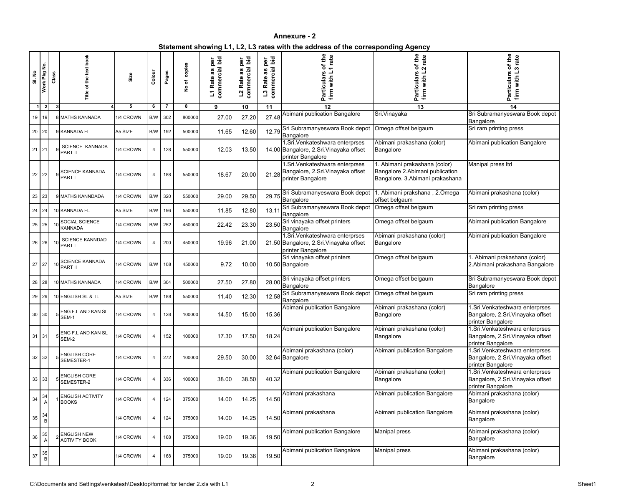| Statement showing L1, L2, L3 rates with the address of the corresponding Agency |  |
|---------------------------------------------------------------------------------|--|
|                                                                                 |  |

| SI. No | Work Pkg No.   | Class |                                            | Size      | Colour         | Pages | copies<br>৳<br>$\overset{\mathtt{o}}{\mathsf{z}}$ | commercial bid<br>per<br>n,<br><b>ro</b><br>Rate<br>$\overline{L}$ | commercial bid<br>per<br>3g<br>Rate<br>$\mathbf{r}$ | commercial bid<br>per<br>w<br><b>ro</b><br>Rate<br>$\mathbf{u}$ | of the<br>rate<br>$\overline{ }$<br>Particulars<br>firm with                                    | the<br>rate<br>Ö<br>$\mathbf{\Omega}$<br>Particulars<br>with<br>firm                                 | of the<br>rate<br>ო<br><b>Particulars</b><br>firm with                                    |
|--------|----------------|-------|--------------------------------------------|-----------|----------------|-------|---------------------------------------------------|--------------------------------------------------------------------|-----------------------------------------------------|-----------------------------------------------------------------|-------------------------------------------------------------------------------------------------|------------------------------------------------------------------------------------------------------|-------------------------------------------------------------------------------------------|
|        | $\overline{2}$ | 3     |                                            | 5         | 6              | -7    | 8                                                 | 9                                                                  | 10                                                  | 11                                                              | 12                                                                                              | 13                                                                                                   | 14                                                                                        |
|        | 19 19          |       | 8 MATHS KANNADA                            | 1/4 CROWN | B/W            | 302   | 800000                                            | 27.00                                                              | 27.20                                               | 27.48                                                           | Abimani publication Bangalore                                                                   | Sri. Vinayaka                                                                                        | Sri Subramanyeswara Book depot<br>Bangalore                                               |
|        | $20$ 20        |       | 9 KANNADA FL                               | A5 SIZE   | B/W            | 192   | 500000                                            | 11.65                                                              | 12.60                                               | 12.79                                                           | Sri Subramanyeswara Book depot<br>Bangalore                                                     | Omega offset belgaum                                                                                 | Sri ram printing press                                                                    |
| 21     | 21             |       | SCIENCE KANNADA<br>PART II                 | 1/4 CROWN | $\overline{4}$ | 128   | 550000                                            | 12.03                                                              | 13.50                                               |                                                                 | 1.Sri. Venkateshwara enterprses<br>14.00 Bangalore, 2.Sri. Vinayaka offset<br>printer Bangalore | Abimani prakashana (color)<br>Bangalore                                                              | Abimani publication Bangalore                                                             |
| 22     | 22             |       | <b>SCIENCE KANNADA</b><br>PART I           | 1/4 CROWN | 4              | 188   | 550000                                            | 18.67                                                              | 20.00                                               | 21.28                                                           | 1.Sri. Venkateshwara enterprses<br>Bangalore, 2.Sri. Vinayaka offset<br>printer Bangalore       | 1. Abimani prakashana (color)<br>Bangalore 2. Abimani publication<br>Bangalore. 3.Abimani prakashana | Manipal press Itd                                                                         |
| 23     | 23             |       | 9 MATHS KANNDADA                           | 1/4 CROWN | B/W            | 320   | 550000                                            | 29.00                                                              | 29.50                                               | 29.75                                                           | Sri Subramanyeswara Book depot<br>Bangalore                                                     | 1. Abimani prakshana, 2.Omega<br>offset belgaum                                                      | Abimani prakashana (color)                                                                |
|        | $24$   24      |       | 10 KANNADA FL                              | A5 SIZE   | B/W            | 196   | 550000                                            | 11.85                                                              | 12.80                                               | 13.11                                                           | Sri Subramanyeswara Book depot<br>Bangalore                                                     | Omega offset belgaum                                                                                 | Sri ram printing press                                                                    |
|        | $25$ 25        |       | SOCIAL SCIENCE<br>KANNADA                  | 1/4 CROWN | B/W            | 252   | 450000                                            | 22.42                                                              | 23.30                                               | 23.50                                                           | Sri vinayaka offset printers<br>Bangalore                                                       | Omega offset belgaum                                                                                 | Abimani publication Bangalore                                                             |
| 26     | 26             |       | <b>SCIENCE KANNDAD</b><br>PART I           | 1/4 CROWN | $\overline{4}$ | 200   | 450000                                            | 19.96                                                              | 21.00                                               |                                                                 | 1.Sri. Venkateshwara enterprses<br>21.50 Bangalore, 2.Sri. Vinayaka offset<br>printer Bangalore | Abimani prakashana (color)<br>Bangalore                                                              | Abimani publication Bangalore                                                             |
| 27     | 27             | 10    | <b>SCIENCE KANNADA</b><br>PART II          | 1/4 CROWN | B/W            | 108   | 450000                                            | 9.72                                                               | 10.00                                               |                                                                 | Sri vinayaka offset printers<br>10.50 Bangalore                                                 | Omega offset belgaum                                                                                 | . Abimani prakashana (color)<br>2.Abimani prakashana Bangalore                            |
| 28     | -28            |       | 10 MATHS KANNADA                           | 1/4 CROWN | B/W            | 304   | 500000                                            | 27.50                                                              | 27.80                                               | 28.00                                                           | Sri vinayaka offset printers<br>Bangalore                                                       | Omega offset belgaum                                                                                 | Sri Subramanyeswara Book depot<br>Bangalore                                               |
|        | 29 29          |       | 10 ENGLISH SL & TL                         | A5 SIZE   | B/W            | 188   | 550000                                            | 11.40                                                              | 12.30                                               | 12.58                                                           | Sri Subramanyeswara Book depot<br>Bangalore                                                     | Omega offset belgaum                                                                                 | Sri ram printing press                                                                    |
|        | 30 30          |       | 5 ENG F.L AND KAN SL<br>SEM-1              | 1/4 CROWN | 4              | 128   | 100000                                            | 14.50                                                              | 15.00                                               | 15.36                                                           | Abimani publication Bangalore                                                                   | Abimani prakashana (color)<br>Bangalore                                                              | 1.Sri. Venkateshwara enterprses<br>Bangalore, 2.Sri. Vinayaka offset<br>printer Bangalore |
|        | $31$ 31        |       | ENG F.L AND KAN SL<br>SEM-2                | 1/4 CROWN | 4              | 152   | 100000                                            | 17.30                                                              | 17.50                                               | 18.24                                                           | Abimani publication Bangalore                                                                   | Abimani prakashana (color)<br>Bangalore                                                              | 1.Sri. Venkateshwara enterprses<br>Bangalore, 2.Sri. Vinayaka offset<br>printer Bangalore |
|        | 32 32          |       | <b>ENGLISH CORE</b><br>SEMESTER-1          | 1/4 CROWN | $\overline{4}$ | 272   | 100000                                            | 29.50                                                              | 30.00                                               |                                                                 | Abimani prakashana (color)<br>32.64 Bangalore                                                   | Abimani publication Bangalore                                                                        | I.Sri. Venkateshwara enterprses<br>Bangalore, 2.Sri. Vinayaka offset<br>printer Bangalore |
| 33     | 33             |       | <b>ENGLISH CORE</b><br>SEMESTER-2          | 1/4 CROWN | 4              | 336   | 100000                                            | 38.00                                                              | 38.50                                               | 40.32                                                           | Abimani publication Bangalore                                                                   | Abimani prakashana (color)<br>Bangalore                                                              | 1.Sri. Venkateshwara enterprses<br>Bangalore, 2.Sri. Vinayaka offset<br>printer Bangalore |
| 34     | 34             |       | ENGLISH ACTIVITY<br><b>BOOKS</b>           | 1/4 CROWN | $\overline{4}$ | 124   | 375000                                            | 14.00                                                              | 14.25                                               | 14.50                                                           | Abimani prakashana                                                                              | Abimani publication Bangalore                                                                        | Abimani prakashana (color)<br>Bangalore                                                   |
| 35     | $\frac{34}{B}$ |       |                                            | 1/4 CROWN | 4              | 124   | 375000                                            | 14.00                                                              | 14.25                                               | 14.50                                                           | Abimani prakashana                                                                              | Abimani publication Bangalore                                                                        | Abimani prakashana (color)<br>Bangalore                                                   |
| 36     | 35             |       | <b>ENGLISH NEW</b><br><b>ACTIVITY BOOK</b> | 1/4 CROWN | 4              | 168   | 375000                                            | 19.00                                                              | 19.36                                               | 19.50                                                           | Abimani publication Bangalore                                                                   | <b>Manipal press</b>                                                                                 | Abimani prakashana (color)<br>Bangalore                                                   |
| 37     | $\frac{35}{B}$ |       |                                            | 1/4 CROWN | 4              | 168   | 375000                                            | 19.00                                                              | 19.36                                               | 19.50                                                           | Abimani publication Bangalore                                                                   | <b>Manipal press</b>                                                                                 | Abimani prakashana (color)<br>Bangalore                                                   |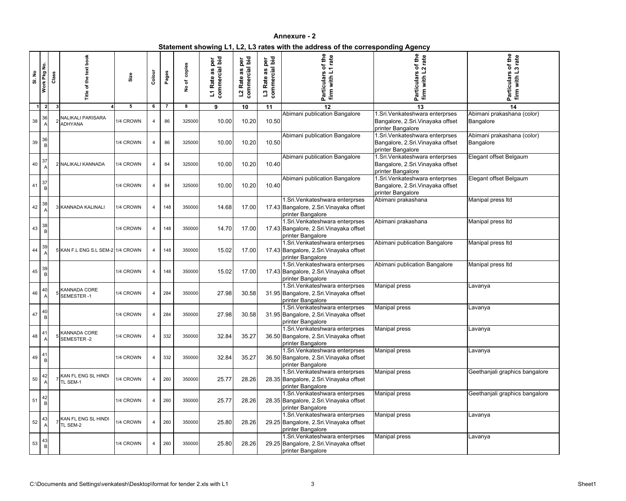**Statement showing L1, L2, L3 rates with the address of the corresponding Agency**

| SI. No | Work Pkg No.       | Class        | š<br>٥<br>፝፝፝፝፝፝፝፝፝                 | Size      | Colour         | Pages          | copies<br>$\overline{\mathbf{c}}$<br>$\frac{1}{2}$ | commercial bid<br>per<br>3g<br>Rate<br>2 | commercial bid<br>per<br>as<br>Rate<br>$\overline{a}$ | commercial bid<br>per<br>3g<br>Rate<br>$\mathbf{c}$ | of the<br>rate<br>$\overline{\phantom{0}}$<br><b>Particulars</b><br>firm with L                 | of the<br>rate<br>articulars<br>with<br>firm<br>௳                                         | of the<br>rate<br>ო<br><b>Particulars</b><br>with<br>firm |
|--------|--------------------|--------------|-------------------------------------|-----------|----------------|----------------|----------------------------------------------------|------------------------------------------|-------------------------------------------------------|-----------------------------------------------------|-------------------------------------------------------------------------------------------------|-------------------------------------------------------------------------------------------|-----------------------------------------------------------|
| -1     | $\overline{2}$     | $\mathbf{3}$ |                                     | 5         | 6              | $\overline{7}$ | 8                                                  | 9                                        | 10                                                    | 11                                                  | 12                                                                                              | 13                                                                                        | 14                                                        |
| 38     | 36                 |              | <b>NALIKALI PARISARA</b><br>ADHYANA | 1/4 CROWN | 4              | 86             | 325000                                             | 10.00                                    | 10.20                                                 | 10.50                                               | Abimani publication Bangalore                                                                   | 1.Sri. Venkateshwara enterprses<br>Bangalore, 2.Sri. Vinayaka offset<br>printer Bangalore | Abimani prakashana (color)<br>Bangalore                   |
| 39     | 36<br>B            |              |                                     | 1/4 CROWN | 4              | 86             | 325000                                             | 10.00                                    | 10.20                                                 | 10.50                                               | Abimani publication Bangalore                                                                   | 1.Sri. Venkateshwara enterprses<br>Bangalore, 2.Sri. Vinayaka offset<br>printer Bangalore | Abimani prakashana (color)<br><b>Bangalore</b>            |
| 40     | 37                 |              | 2 NALIKALI KANNADA                  | 1/4 CROWN | 4              | 84             | 325000                                             | 10.00                                    | 10.20                                                 | 10.40                                               | Abimani publication Bangalore                                                                   | I.Sri. Venkateshwara enterprses<br>Bangalore, 2.Sri. Vinayaka offset<br>printer Bangalore | Elegant offset Belgaum                                    |
| 41     | 37<br>$\, {\bf B}$ |              |                                     | 1/4 CROWN | 4              | 84             | 325000                                             | 10.00                                    | 10.20                                                 | 10.40                                               | Abimani publication Bangalore                                                                   | 1.Sri. Venkateshwara enterprses<br>Bangalore, 2.Sri. Vinayaka offset<br>printer Bangalore | Elegant offset Belgaum                                    |
| 42     | 38                 |              | 3 KANNADA KALINALI                  | 1/4 CROWN | $\overline{4}$ | 148            | 350000                                             | 14.68                                    | 17.00                                                 |                                                     | 1.Sri. Venkateshwara enterprses<br>17.43 Bangalore, 2.Sri. Vinayaka offset<br>printer Bangalore | Abimani prakashana                                                                        | Manipal press Itd                                         |
| 43     | 38<br>B            |              |                                     | 1/4 CROWN | 4              | 148            | 350000                                             | 14.70                                    | 17.00                                                 |                                                     | 1.Sri. Venkateshwara enterprses<br>17.43 Bangalore, 2.Sri. Vinayaka offset<br>printer Bangalore | Abimani prakashana                                                                        | Manipal press Itd                                         |
| 44     | 39                 |              | 5 KAN F.L ENG S.L SEM-2 1/4 CROWN   |           | $\overline{4}$ | 148            | 350000                                             | 15.02                                    | 17.00                                                 |                                                     | 1.Sri. Venkateshwara enterprses<br>17.43 Bangalore, 2.Sri. Vinayaka offset<br>printer Bangalore | Abimani publication Bangalore                                                             | Manipal press Itd                                         |
| 45     | 39<br>B            |              |                                     | 1/4 CROWN | $\overline{4}$ | 148            | 350000                                             | 15.02                                    | 17.00                                                 |                                                     | 1.Sri. Venkateshwara enterprses<br>17.43 Bangalore, 2.Sri. Vinayaka offset<br>printer Bangalore | Abimani publication Bangalore                                                             | Manipal press Itd                                         |
| 46     | 40                 |              | <b>KANNADA CORE</b><br>SEMESTER-1   | 1/4 CROWN | $\overline{4}$ | 284            | 350000                                             | 27.98                                    | 30.58                                                 |                                                     | 1.Sri. Venkateshwara enterprses<br>31.95 Bangalore, 2.Sri. Vinayaka offset<br>printer Bangalore | Manipal press                                                                             | Lavanya                                                   |
| 47     | $\mathsf{B}$       |              |                                     | 1/4 CROWN | 4              | 284            | 350000                                             | 27.98                                    | 30.58                                                 |                                                     | 1.Sri.Venkateshwara enterprses<br>31.95 Bangalore, 2.Sri. Vinayaka offset<br>printer Bangalore  | <b>Manipal press</b>                                                                      | Lavanya                                                   |
| 48     | 41<br>A            |              | KANNADA CORE<br>SEMESTER-2          | 1/4 CROWN | $\overline{4}$ | 332            | 350000                                             | 32.84                                    | 35.27                                                 |                                                     | 1.Sri. Venkateshwara enterprses<br>36.50 Bangalore, 2.Sri. Vinayaka offset<br>printer Bangalore | Manipal press                                                                             | Lavanya                                                   |
| 49     | 41<br>B            |              |                                     | 1/4 CROWN | 4              | 332            | 350000                                             | 32.84                                    | 35.27                                                 |                                                     | 1.Sri. Venkateshwara enterprses<br>36.50 Bangalore, 2.Sri. Vinayaka offset<br>printer Bangalore | Manipal press                                                                             | Lavanya                                                   |
| 50     | 42<br>A            |              | KAN FL ENG SL HINDI<br>TL SEM-1     | 1/4 CROWN | $\overline{4}$ | 260            | 350000                                             | 25.77                                    | 28.26                                                 |                                                     | 1.Sri. Venkateshwara enterprses<br>28.35 Bangalore, 2.Sri. Vinayaka offset<br>printer Bangalore | <b>Manipal press</b>                                                                      | Geethanjali graphics bangalore                            |
| 51     | 42<br>$\sf B$      |              |                                     | 1/4 CROWN | $\overline{4}$ | 260            | 350000                                             | 25.77                                    | 28.26                                                 |                                                     | 1.Sri. Venkateshwara enterprses<br>28.35 Bangalore, 2.Sri. Vinayaka offset<br>printer Bangalore | Manipal press                                                                             | Geethanjali graphics bangalore                            |
| 52     | 43<br>A            |              | KAN FL ENG SL HINDI<br>TL SEM-2     | 1/4 CROWN | $\overline{4}$ | 260            | 350000                                             | 25.80                                    | 28.26                                                 |                                                     | 1.Sri. Venkateshwara enterprses<br>29.25 Bangalore, 2.Sri. Vinayaka offset<br>printer Bangalore | Manipal press                                                                             | Lavanya                                                   |
| 53     | $\frac{43}{B}$     |              |                                     | 1/4 CROWN | $\overline{4}$ | 260            | 350000                                             | 25.80                                    | 28.26                                                 |                                                     | 1.Sri. Venkateshwara enterprses<br>29.25 Bangalore, 2.Sri. Vinayaka offset<br>printer Bangalore | Manipal press                                                                             | Lavanya                                                   |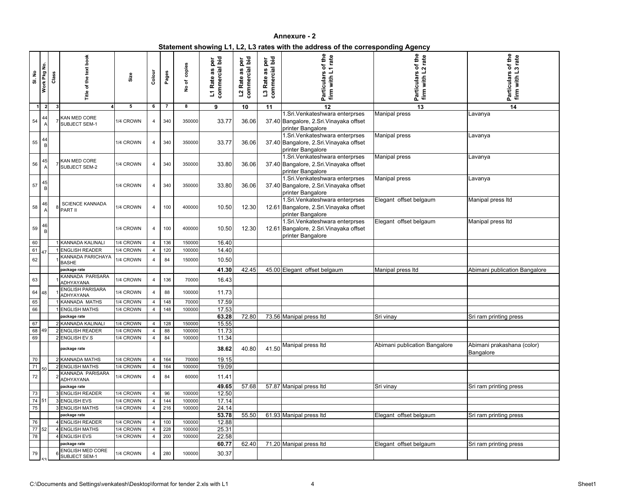| Statement showing L1, L2, L3 rates with the address of the corresponding Agency |  |
|---------------------------------------------------------------------------------|--|
|                                                                                 |  |

| <b>SI. No</b>                                        | Work Pkg No.   | Class        | of the text book<br>Title                | Size      | Colour         | Pages | copies<br>$\overline{\sigma}$<br>$\frac{1}{2}$ | commercial bid<br>per<br>3g<br>L1 Rate | L2 Rate as per<br>commercial bid<br>Rate<br>$\overline{\mathbf{c}}$ | bid<br>per<br>$\overline{\mathfrak{a}}$<br>3g<br>ত<br>L <sub>3</sub> Rate<br>commer | of the<br>1 rate<br>firm with L<br>Particulars                                                  | of the<br>rate<br>$\sim$<br>with L.<br>Particulars<br>firm | of the<br>rate<br>က<br><b>Particulars</b><br>firm with L |
|------------------------------------------------------|----------------|--------------|------------------------------------------|-----------|----------------|-------|------------------------------------------------|----------------------------------------|---------------------------------------------------------------------|-------------------------------------------------------------------------------------|-------------------------------------------------------------------------------------------------|------------------------------------------------------------|----------------------------------------------------------|
| $\overline{1}$                                       | $\overline{2}$ | $\mathbf{3}$ |                                          | 5         | 6              | 7     | 8                                              | 9                                      | 10                                                                  | 11                                                                                  | 12                                                                                              | 13                                                         | 14                                                       |
| 54                                                   | 44<br>A        |              | KAN MED CORE<br>SUBJECT SEM-1            | 1/4 CROWN | 4              | 340   | 350000                                         | 33.77                                  | 36.06                                                               |                                                                                     | 1.Sri. Venkateshwara enterprses<br>37.40 Bangalore, 2.Sri. Vinayaka offset<br>printer Bangalore | <b>Manipal press</b>                                       | Lavanya                                                  |
| 55                                                   | B              |              |                                          | 1/4 CROWN | 4              | 340   | 350000                                         | 33.77                                  | 36.06                                                               |                                                                                     | 1.Sri. Venkateshwara enterprses<br>37.40 Bangalore, 2.Sri. Vinayaka offset<br>printer Bangalore | <b>Manipal press</b>                                       | Lavanya                                                  |
| 56                                                   | 45             |              | KAN MED CORE<br><b>SUBJECT SEM-2</b>     | 1/4 CROWN | 4              | 340   | 350000                                         | 33.80                                  | 36.06                                                               |                                                                                     | 1.Sri. Venkateshwara enterprses<br>37.40 Bangalore, 2.Sri. Vinayaka offset<br>printer Bangalore | <b>Manipal press</b>                                       | Lavanya                                                  |
| 57                                                   | 45<br>B        |              |                                          | 1/4 CROWN | 4              | 340   | 350000                                         | 33.80                                  | 36.06                                                               |                                                                                     | 1.Sri. Venkateshwara enterprses<br>37.40 Bangalore, 2.Sri. Vinayaka offset<br>printer Bangalore | <b>Manipal press</b>                                       | Lavanya                                                  |
| 58                                                   | 46             |              | <b>SCIENCE KANNADA</b><br>PART II        | 1/4 CROWN | 4              | 100   | 400000                                         | 10.50                                  | 12.30                                                               |                                                                                     | 1.Sri. Venkateshwara enterprses<br>12.61 Bangalore, 2.Sri. Vinayaka offset<br>printer Bangalore | Elegant offset belgaum                                     | Manipal press Itd                                        |
| 59                                                   | $\mathsf B$    |              |                                          | 1/4 CROWN | 4              | 100   | 400000                                         | 10.50                                  | 12.30                                                               |                                                                                     | 1.Sri. Venkateshwara enterprses<br>12.61 Bangalore, 2.Sri. Vinayaka offset<br>printer Bangalore | Elegant offset belgaum                                     | Manipal press Itd                                        |
| 60                                                   |                |              | <b>KANNADA KALINALI</b>                  | 1/4 CROWN | 4              | 136   | 150000                                         | 16.40                                  |                                                                     |                                                                                     |                                                                                                 |                                                            |                                                          |
| 61                                                   | 47             |              | <b>ENGLISH READER</b>                    | 1/4 CROWN | 4              | 120   | 100000                                         | 14.40                                  |                                                                     |                                                                                     |                                                                                                 |                                                            |                                                          |
| 62                                                   |                |              | <b>KANNADA PARICHAYA</b><br><b>BASHE</b> | 1/4 CROWN | 4              | 84    | 150000                                         | 10.50                                  |                                                                     |                                                                                     |                                                                                                 |                                                            |                                                          |
|                                                      |                |              | package rate                             |           |                |       |                                                | 41.30                                  | 42.45                                                               |                                                                                     | 45.00 Elegant offset belgaum                                                                    | Manipal press Itd                                          | Abimani publication Bangalore                            |
| 63                                                   |                |              | KANNADA PARISARA<br>ADHYAYANA            | 1/4 CROWN | 4              | 136   | 70000                                          | 16.43                                  |                                                                     |                                                                                     |                                                                                                 |                                                            |                                                          |
| 64                                                   | 48             |              | <b>ENGLISH PARISARA</b><br>ADHYAYANA     | 1/4 CROWN | $\overline{4}$ | 88    | 100000                                         | 11.73                                  |                                                                     |                                                                                     |                                                                                                 |                                                            |                                                          |
| 65                                                   |                |              | KANNADA MATHS                            | 1/4 CROWN | 4              | 148   | 70000                                          | 17.59                                  |                                                                     |                                                                                     |                                                                                                 |                                                            |                                                          |
| 66                                                   |                |              | 1 ENGLISH MATHS                          | 1/4 CROWN | $\overline{a}$ | 148   | 100000                                         | 17.53                                  |                                                                     |                                                                                     |                                                                                                 |                                                            |                                                          |
| 67                                                   |                |              | package rate<br>2 KANNADA KALINALI       | 1/4 CROWN | $\overline{4}$ | 128   | 150000                                         | 63.28<br>15.55                         | 72.80                                                               |                                                                                     | 73.56 Manipal press Itd                                                                         | Sri vinay                                                  | Sri ram printing press                                   |
| 68 49                                                |                |              | 2 ENGLISH READER                         | 1/4 CROWN | 4              | 88    | 100000                                         | 11.73                                  |                                                                     |                                                                                     |                                                                                                 |                                                            |                                                          |
| 69                                                   |                |              | 2 ENGLISH EV.S                           | 1/4 CROWN | 4              | 84    | 100000                                         | 11.34                                  |                                                                     |                                                                                     |                                                                                                 |                                                            |                                                          |
|                                                      |                |              | package rate                             |           |                |       |                                                | 38.62                                  | 40.80                                                               |                                                                                     | 41.50 Manipal press Itd                                                                         | Abimani publication Bangalore                              | Abimani prakashana (color)<br>Bangalore                  |
| 70                                                   |                |              | 2 KANNADA MATHS                          | 1/4 CROWN | 4              | 164   | 70000                                          | 19.15                                  |                                                                     |                                                                                     |                                                                                                 |                                                            |                                                          |
| 71                                                   | 50             |              | 2 ENGLISH MATHS                          | 1/4 CROWN | 4              | 164   | 100000                                         | 19.09                                  |                                                                     |                                                                                     |                                                                                                 |                                                            |                                                          |
| 72                                                   |                |              | KANNADA PARISARA<br>ADHYAYANA            | 1/4 CROWN | 4              | 84    | 60000                                          | 11.41                                  |                                                                     |                                                                                     |                                                                                                 |                                                            |                                                          |
|                                                      |                |              | package rate                             |           |                |       |                                                | 49.65                                  | 57.68                                                               |                                                                                     | 57.87 Manipal press Itd                                                                         | Sri vinay                                                  | Sri ram printing press                                   |
| 73                                                   |                |              | <b>ENGLISH READER</b>                    | 1/4 CROWN | 4              | 96    | 100000                                         | 12.50                                  |                                                                     |                                                                                     |                                                                                                 |                                                            |                                                          |
| $\begin{array}{ c c }\n\hline\n74 & 51\n\end{array}$ |                |              | 3 ENGLISH EVS                            | 1/4 CROWN | $\overline{4}$ | 144   | 100000                                         | 17.14                                  |                                                                     |                                                                                     |                                                                                                 |                                                            |                                                          |
| 75                                                   |                |              | 3 ENGLISH MATHS                          | 1/4 CROWN | $\overline{4}$ | 216   | 100000                                         | 24.14                                  |                                                                     |                                                                                     |                                                                                                 |                                                            |                                                          |
|                                                      |                |              | package rate                             |           |                |       |                                                | 53.78                                  | 55.50                                                               |                                                                                     | 61.93 Manipal press Itd                                                                         | Elegant offset belgaum                                     | Sri ram printing press                                   |
| 76                                                   |                |              | <b>ENGLISH READER</b>                    | 1/4 CROWN | 4              | 100   | 100000                                         | 12.88                                  |                                                                     |                                                                                     |                                                                                                 |                                                            |                                                          |
| $\overline{77}$ 52                                   |                |              | 4 ENGLISH MATHS                          | 1/4 CROWN | 4              | 228   | 100000                                         | 25.31                                  |                                                                     |                                                                                     |                                                                                                 |                                                            |                                                          |
| 78                                                   |                |              | <b>ENGLISH EVS</b>                       | 1/4 CROWN | 4              | 200   | 100000                                         | 22.58                                  |                                                                     |                                                                                     |                                                                                                 |                                                            |                                                          |
|                                                      |                |              | package rate                             |           |                |       |                                                | 60.77                                  | 62.40                                                               |                                                                                     | 71.20 Manipal press Itd                                                                         | Elegant offset belgaum                                     | Sri ram printing press                                   |
| 79                                                   |                |              | <b>ENGLISH MED CORE</b><br>SUBJECT SEM-1 | 1/4 CROWN | 4              | 280   | 100000                                         | 30.37                                  |                                                                     |                                                                                     |                                                                                                 |                                                            |                                                          |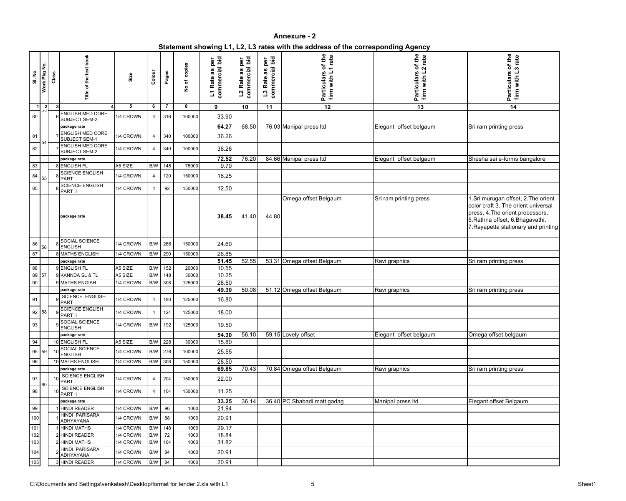|  | Statement showing L1, L2, L3 rates with the address of the corresponding Agency |
|--|---------------------------------------------------------------------------------|
|  |                                                                                 |

| SI. No     | Work Pkg No.        | Class | of the text book<br>Title                        | Size                   | Colour                  | Pages | copies<br>No of | commercial bid<br>per<br>U)<br>a<br>Rate<br>$\overline{\mathbf{z}}$ | L2 Rate as per<br>commercial bid<br>Rate<br>$\overline{\mathbf{c}}$ | commercial bid<br>per<br>3g<br>L <sub>3</sub> Rate | of the<br>1 rate<br>firm with L<br><b>Particulars</b> | of the<br>rate<br>$\mathbf{\Omega}$<br>with L.<br>Particulars<br>firm with L' | of the<br>rate<br><b>Particulars</b><br>with<br>firm                                                                                                                                      |
|------------|---------------------|-------|--------------------------------------------------|------------------------|-------------------------|-------|-----------------|---------------------------------------------------------------------|---------------------------------------------------------------------|----------------------------------------------------|-------------------------------------------------------|-------------------------------------------------------------------------------|-------------------------------------------------------------------------------------------------------------------------------------------------------------------------------------------|
| -1         | $\overline{2}$<br>~ |       |                                                  | 5                      | 6                       | 7     | 8               | 9                                                                   | 10                                                                  | 11                                                 | $\overline{12}$                                       | 13                                                                            | 14                                                                                                                                                                                        |
| 80         |                     |       | ENGLISH MED CORE<br>SUBJECT SEM-2                | 1/4 CROWN              | 4                       | 316   | 100000          | 33.90                                                               |                                                                     |                                                    |                                                       |                                                                               |                                                                                                                                                                                           |
|            |                     |       | package rate                                     |                        |                         |       |                 | 64.27                                                               | 68.50                                                               |                                                    | 76.03 Manipal press Itd                               | Elegant offset belgaum                                                        | Sri ram printing press                                                                                                                                                                    |
| 81         | 54                  |       | <b>ENGLISH MED CORE</b><br><b>SUBJECT SEM-1</b>  | 1/4 CROWN              | 4                       | 340   | 100000          | 36.26                                                               |                                                                     |                                                    |                                                       |                                                                               |                                                                                                                                                                                           |
| 82         |                     |       | <b>ENGLISH MED CORE</b><br>SUBJECT SEM-2         | 1/4 CROWN              | 4                       | 340   | 100000          | 36.26                                                               |                                                                     |                                                    |                                                       |                                                                               |                                                                                                                                                                                           |
|            |                     |       | package rate<br>8 ENGLISH FL                     |                        | $\mathsf{B}/\mathsf{W}$ |       | 75000           | 72.52<br>9.70                                                       | 76.20                                                               |                                                    | 84.66 Manipal press Itd                               | Elegant offset belgaum                                                        | Shesha sai e-forms bangalore                                                                                                                                                              |
| 83         |                     |       | <b>SCIENCE ENGLISH</b>                           | A5 SIZE                |                         | 148   |                 |                                                                     |                                                                     |                                                    |                                                       |                                                                               |                                                                                                                                                                                           |
| 84         | 55                  |       | PART I<br><b>SCIENCE ENGLISH</b>                 | 1/4 CROWN              | 4                       | 120   | 150000          | 16.25                                                               |                                                                     |                                                    |                                                       |                                                                               |                                                                                                                                                                                           |
| 85         |                     |       | PART II                                          | 1/4 CROWN              | 4                       | 92    | 150000          | 12.50                                                               |                                                                     |                                                    |                                                       |                                                                               |                                                                                                                                                                                           |
|            |                     |       | package rate                                     |                        |                         |       |                 | 38.45                                                               | 41.40                                                               | 44.80                                              | Omega offset Belgaum                                  | Sri ram printing press                                                        | 1.Sri murugan offset, 2.The orient<br>color craft 3. The orient universal<br>press, 4. The orient processors,<br>5. Rathna offset, 6. Bhagavathi,<br>7. Rayapetta stationary and printing |
| $86\,$     | 56                  |       | SOCIAL SCIENCE<br><b>ENGLISH</b>                 | 1/4 CROWN              | $\mathsf{B}/\mathsf{W}$ | 266   | 150000          | 24.60                                                               |                                                                     |                                                    |                                                       |                                                                               |                                                                                                                                                                                           |
| 87         |                     |       | <b>MATHS ENGLISH</b>                             | 1/4 CROWN              | B/W                     | 290   | 150000          | 26.85                                                               |                                                                     |                                                    |                                                       |                                                                               |                                                                                                                                                                                           |
|            |                     |       | package rate                                     |                        |                         |       |                 | 51.45                                                               | 52.55                                                               |                                                    | 53.31 Omega offset Belgaum                            | Ravi graphics                                                                 | Sri ram printing press                                                                                                                                                                    |
| 88         |                     |       | 9 ENGLISH FL                                     | A5 SIZE                | B/W                     | 152   | 20000           | 10.55                                                               |                                                                     |                                                    |                                                       |                                                                               |                                                                                                                                                                                           |
| 89         | 57                  |       | 9 KANNDA SL & TL                                 | A5 SIZE                | B/W                     | 148   | 30000           | 10.25                                                               |                                                                     |                                                    |                                                       |                                                                               |                                                                                                                                                                                           |
| 90         |                     |       | 9 MATHS ENGISH                                   | 1/4 CROWN              | B/W                     | 308   | 125000          | 28.50<br>49.30                                                      | 50.08                                                               |                                                    | 51.12 Omega offset Belgaum                            |                                                                               |                                                                                                                                                                                           |
| 91         |                     |       | package rate<br>SCIENCE ENGLISH<br>PART I        | 1/4 CROWN              | $\overline{4}$          | 180   | 125000          | 16.80                                                               |                                                                     |                                                    |                                                       | Ravi graphics                                                                 | Sri ram printing press                                                                                                                                                                    |
|            | 92 58               |       | <b>SCIENCE ENGLISH</b><br>$9$ PART II            | 1/4 CROWN              | 4                       | 124   | 125000          | 18.00                                                               |                                                                     |                                                    |                                                       |                                                                               |                                                                                                                                                                                           |
| 93         |                     |       | SOCIAL SCIENCE<br><b>ENGLISH</b>                 | 1/4 CROWN              | B/W                     | 192   | 125000          | 19.50                                                               |                                                                     |                                                    |                                                       |                                                                               |                                                                                                                                                                                           |
|            |                     |       | package rate                                     |                        |                         |       |                 | 54.30                                                               | 56.10                                                               |                                                    | 59.15 Lovely offset                                   | Elegant offset belgaum                                                        | Omega offset belgaum                                                                                                                                                                      |
| 94         |                     |       | 10 ENGLISH FL<br>SOCIAL SCIENCE                  | A5 SIZE                | B/W                     | 228   | 30000           | 15.80                                                               |                                                                     |                                                    |                                                       |                                                                               |                                                                                                                                                                                           |
|            | 95 59               |       | <b>ENGLISH</b>                                   | 1/4 CROWN              | B/W                     | 276   | 100000          | 25.55                                                               |                                                                     |                                                    |                                                       |                                                                               |                                                                                                                                                                                           |
| 96         |                     |       | 10 MATHS ENGLISH                                 | 1/4 CROWN              | B/W                     | 308   | 150000          | 28.50                                                               | 70.43                                                               |                                                    |                                                       |                                                                               |                                                                                                                                                                                           |
| 97         |                     |       | package rate<br><b>SCIENCE ENGLISH</b><br>PART I | 1/4 CROWN              | 4                       | 204   | 150000          | 69.85<br>22.00                                                      |                                                                     |                                                    | 70.84 Omega offset Belgaum                            | Ravi graphics                                                                 | Sri ram printing press                                                                                                                                                                    |
| 98         | 60                  |       | <b>SCIENCE ENGLISH</b><br>PART II                | 1/4 CROWN              | 4                       | 104   | 150000          | 11.25                                                               |                                                                     |                                                    |                                                       |                                                                               |                                                                                                                                                                                           |
|            |                     |       | package rate                                     |                        |                         |       |                 | 33.25                                                               | 36.14                                                               |                                                    | 36.40 PC Shabadi matt gadag                           | Manipal press Itd                                                             | Elegant offset Belgaum                                                                                                                                                                    |
| 99         |                     |       | <b>HINDI READER</b>                              | 1/4 CROWN              | B/W                     | 96    | 1000            | 21.94                                                               |                                                                     |                                                    |                                                       |                                                                               |                                                                                                                                                                                           |
| 100        |                     |       | <b>HINDI PARISARA</b><br>ADHYAYANA               | 1/4 CROWN              | B/W                     | 88    | 1000            | 20.91                                                               |                                                                     |                                                    |                                                       |                                                                               |                                                                                                                                                                                           |
| $101$      |                     |       | <b>HINDI MATHS</b>                               | 1/4 CROWN              | B/W                     | 148   | 1000            | 29.17                                                               |                                                                     |                                                    |                                                       |                                                                               |                                                                                                                                                                                           |
| 102<br>103 |                     |       | 2 HINDI READER<br>2 HINDI MATHS                  | 1/4 CROWN<br>1/4 CROWN | B/W<br>B/W              | 72    | 1000            | 18.84<br>31.82                                                      |                                                                     |                                                    |                                                       |                                                                               |                                                                                                                                                                                           |
|            |                     |       | HINDI PARISARA                                   |                        |                         | 164   | 1000            |                                                                     |                                                                     |                                                    |                                                       |                                                                               |                                                                                                                                                                                           |
| 104        |                     |       | ADHYAYANA                                        | 1/4 CROWN              | B/W                     | 84    | 1000            | 20.91                                                               |                                                                     |                                                    |                                                       |                                                                               |                                                                                                                                                                                           |
| 105        |                     |       | <b>HINDI READER</b>                              | 1/4 CROWN              | B/W                     | 84    | 1000            | 20.91                                                               |                                                                     |                                                    |                                                       |                                                                               |                                                                                                                                                                                           |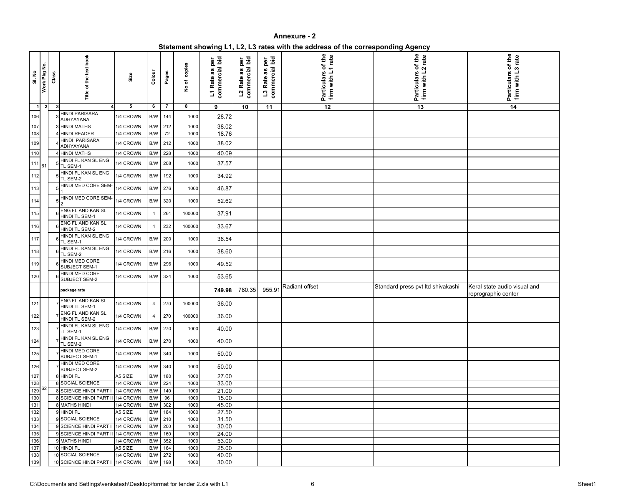| Statement showing L1, L2, L3 rates with the address of the corresponding Agency |  |
|---------------------------------------------------------------------------------|--|
|                                                                                 |  |

| <b>SI. No</b>           | Work Pkg No.   | Class | Title of the text book                                      | Size      | Colour                  | Pages           | No of copies | commercial bid<br>per<br>as<br>L1 Rate | L2 Rate as per<br>commercial bid<br>L <sub>2</sub> Rate | commercial bid<br>per<br>as<br>L <sub>3</sub> Rate | of the<br>firm with L1 rate<br>Particulars | of the<br>rate<br>firm with L2<br>Particulars | Particulars of the<br>firm with L3 rate             |
|-------------------------|----------------|-------|-------------------------------------------------------------|-----------|-------------------------|-----------------|--------------|----------------------------------------|---------------------------------------------------------|----------------------------------------------------|--------------------------------------------|-----------------------------------------------|-----------------------------------------------------|
| $\overline{\mathbf{1}}$ | 2 <sup>1</sup> | -3    |                                                             | 5         | 6                       | $\overline{7}$  | 8            | 9                                      | 10                                                      | 11                                                 | 12                                         | $\overline{13}$                               | 14                                                  |
| 106                     |                |       | <b>HINDI PARISARA</b><br>ADHYAYANA                          | 1/4 CROWN | B/W                     | 144             | 1000         | 28.72                                  |                                                         |                                                    |                                            |                                               |                                                     |
| 107                     |                |       | <b>HINDI MATHS</b>                                          | 1/4 CROWN | B/W                     | 212             | 1000         | 38.02                                  |                                                         |                                                    |                                            |                                               |                                                     |
| 108                     |                |       | <b>HINDI READER</b>                                         | 1/4 CROWN | B/W                     | $\overline{72}$ | 1000         | 18.76                                  |                                                         |                                                    |                                            |                                               |                                                     |
| 109                     |                |       | <b>HINDI PARISARA</b><br>ADHYAYANA                          | 1/4 CROWN | B/W                     | 212             | 1000         | 38.02                                  |                                                         |                                                    |                                            |                                               |                                                     |
| 110                     |                |       | 4 HINDI MATHS                                               | 1/4 CROWN | $\mathsf{B}/\mathsf{W}$ | 228             | 1000         | 40.09                                  |                                                         |                                                    |                                            |                                               |                                                     |
| 111                     |                |       | HINDI FL KAN SL ENG                                         | 1/4 CROWN | B/W                     | 208             | 1000         | 37.57                                  |                                                         |                                                    |                                            |                                               |                                                     |
|                         | 61             |       | TL SEM-1<br>HINDI FL KAN SL ENG                             |           |                         |                 |              |                                        |                                                         |                                                    |                                            |                                               |                                                     |
| 112                     |                |       | TL SEM-2                                                    | 1/4 CROWN | B/W                     | 192             | 1000         | 34.92                                  |                                                         |                                                    |                                            |                                               |                                                     |
| 113                     |                |       | HINDI MED CORE SEM-                                         | 1/4 CROWN | B/W                     | 276             | 1000         | 46.87                                  |                                                         |                                                    |                                            |                                               |                                                     |
| 114                     |                |       | HINDI MED CORE SEM-<br>l2                                   | 1/4 CROWN | B/W                     | 320             | 1000         | 52.62                                  |                                                         |                                                    |                                            |                                               |                                                     |
| 115                     |                |       | ENG FL AND KAN SL<br>HINDI TL SEM-1                         | 1/4 CROWN | 4                       | 264             | 100000       | 37.91                                  |                                                         |                                                    |                                            |                                               |                                                     |
| 116                     |                |       | ENG FL AND KAN SL                                           | 1/4 CROWN | $\overline{4}$          | 232             | 100000       | 33.67                                  |                                                         |                                                    |                                            |                                               |                                                     |
|                         |                |       | HINDI TL SEM-2<br><b>HINDI FL KAN SL ENG</b>                |           |                         |                 |              |                                        |                                                         |                                                    |                                            |                                               |                                                     |
| 117                     |                |       | TL SEM-1                                                    | 1/4 CROWN | B/W                     | 200             | 1000         | 36.54                                  |                                                         |                                                    |                                            |                                               |                                                     |
| 118                     |                |       | HINDI FL KAN SL ENG<br>TL SEM-2                             | 1/4 CROWN | B/W                     | 216             | 1000         | 38.60                                  |                                                         |                                                    |                                            |                                               |                                                     |
| 119                     |                |       | <b>HINDI MED CORE</b><br>SUBJECT SEM-1                      | 1/4 CROWN | $\mathsf{B}/\mathsf{W}$ | 296             | 1000         | 49.52                                  |                                                         |                                                    |                                            |                                               |                                                     |
| 120                     |                |       | HINDI MED CORE<br>SUBJECT SEM-2                             | 1/4 CROWN | B/W                     | 324             | 1000         | 53.65                                  |                                                         |                                                    |                                            |                                               |                                                     |
|                         |                |       | package rate                                                |           |                         |                 |              | 749.98                                 | 780.35                                                  | 955.91                                             | Radiant offset                             | Standard press pvt Itd shivakashi             | Keral state audio visual and<br>reprographic center |
| 121                     |                |       | ENG FL AND KAN SL<br>HINDI TL SEM-1                         | 1/4 CROWN | 4                       | 270             | 100000       | 36.00                                  |                                                         |                                                    |                                            |                                               |                                                     |
| 122                     |                |       | ENG FL AND KAN SL<br>HINDI TL SEM-2                         | 1/4 CROWN | 4                       | 270             | 100000       | 36.00                                  |                                                         |                                                    |                                            |                                               |                                                     |
| 123                     |                |       | HINDI FL KAN SL ENG<br>TL SEM-1                             | 1/4 CROWN |                         | B/W 270         | 1000         | 40.00                                  |                                                         |                                                    |                                            |                                               |                                                     |
| 124                     |                |       | HINDI FL KAN SL ENG<br>TL SEM-2                             | 1/4 CROWN |                         | B/W 270         | 1000         | 40.00                                  |                                                         |                                                    |                                            |                                               |                                                     |
| 125                     |                |       | HINDI MED CORE<br>SUBJECT SEM-1                             | 1/4 CROWN |                         | B/W 340         | 1000         | 50.00                                  |                                                         |                                                    |                                            |                                               |                                                     |
| 126                     |                |       | HINDI MED CORE<br>SUBJECT SEM-2                             | 1/4 CROWN |                         | B/W 340         | 1000         | 50.00                                  |                                                         |                                                    |                                            |                                               |                                                     |
| 127                     |                |       | 8 HINDI FL                                                  | A5 SIZE   | B/W                     | 180             | 1000         | 27.00                                  |                                                         |                                                    |                                            |                                               |                                                     |
| 128                     | 162            |       | 8 SOCIAL SCIENCE                                            | 1/4 CROWN | B/W                     | 224             | 1000         | 33.00                                  |                                                         |                                                    |                                            |                                               |                                                     |
| 129<br>130              |                |       | 8 SCIENCE HINDI PART I<br>8 SCIENCE HINDI PART II 1/4 CROWN | 1/4 CROWN | B/W<br>B/W              | 140<br>96       | 1000<br>1000 | 21.00<br>15.00                         |                                                         |                                                    |                                            |                                               |                                                     |
| 131                     |                |       | 8 MATHS HINDI                                               | 1/4 CROWN | B/W                     | 302             | 1000         | 45.00                                  |                                                         |                                                    |                                            |                                               |                                                     |
| 132                     |                |       | 9 HINDI FL                                                  | A5 SIZE   | B/W                     | 184             | 1000         | 27.50                                  |                                                         |                                                    |                                            |                                               |                                                     |
| 133                     |                |       | 9 SOCIAL SCIENCE                                            | 1/4 CROWN | $\mathsf{B}/\mathsf{W}$ | 210             | 1000         | 31.50                                  |                                                         |                                                    |                                            |                                               |                                                     |
| 134                     |                |       | <b>SCIENCE HINDI PART I</b>                                 | 1/4 CROWN | B/W                     | 200             | 1000         | 30.00                                  |                                                         |                                                    |                                            |                                               |                                                     |
| 135                     |                |       | 9 SCIENCE HINDI PART II 1/4 CROWN                           |           | B/W                     | 160             | 1000         | 24.00                                  |                                                         |                                                    |                                            |                                               |                                                     |
| 136                     |                |       | 9 MATHS HINDI                                               | 1/4 CROWN | B/W                     | 352             | 1000         | 53.00                                  |                                                         |                                                    |                                            |                                               |                                                     |
| 137                     |                |       | 10 HINDI FL                                                 | A5 SIZE   | B/W                     | 164             | 1000         | 25.00                                  |                                                         |                                                    |                                            |                                               |                                                     |
| 138                     |                |       | 10 SOCIAL SCIENCE                                           | 1/4 CROWN | B/W                     | 272             | 1000         | 40.00                                  |                                                         |                                                    |                                            |                                               |                                                     |
| 139                     |                |       | 10 SCIENCE HINDI PART I                                     | 1/4 CROWN | B/W                     | 198             | 1000         | 30.00                                  |                                                         |                                                    |                                            |                                               |                                                     |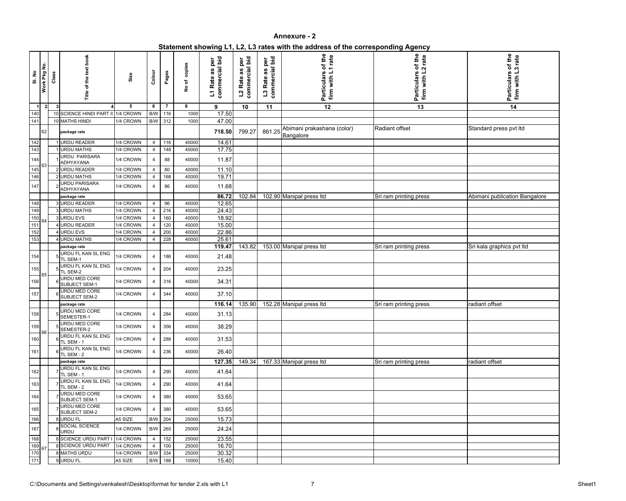| Statement showing L1, L2, L3 rates with the address of the corresponding Agency |  |
|---------------------------------------------------------------------------------|--|
|                                                                                 |  |

| SI. No           | Work Pkg No.   | Class        | of the text book<br>Title                              | Size                   | Colour                | Pages      | copies<br>No of | commercial bid<br>per<br>U)<br>a<br>L1 Rate | L2 Rate as per<br>commercial bid<br>L <sub>2</sub> Rate | bid<br>per<br>commercial<br>3g<br>L <sub>3</sub> Rate | of the<br>1 rate<br>firm with L<br>Particulars | of the<br>2 rate<br>with L'<br>Particulars<br>$f_{\text{irm}}$ | Particulars of the<br>firm with L3 rate |
|------------------|----------------|--------------|--------------------------------------------------------|------------------------|-----------------------|------------|-----------------|---------------------------------------------|---------------------------------------------------------|-------------------------------------------------------|------------------------------------------------|----------------------------------------------------------------|-----------------------------------------|
| $\overline{1}$   | $\overline{2}$ | $\mathbf{3}$ |                                                        | 5                      | 6                     | 7          | 8               | 9                                           | 10                                                      | 11                                                    | 12                                             | 13                                                             | 14                                      |
| 140<br>141       |                |              | 10 SCIENCE HINDI PART II 1/4 CROWN<br>10 MATHS HINDI   | 1/4 CROWN              | B/W<br>B/W            | 116<br>312 | 1000<br>1000    | 17.50<br>47.00                              |                                                         |                                                       |                                                |                                                                |                                         |
|                  | 62             |              | package rate                                           |                        |                       |            |                 | 718.50                                      | 799.27                                                  | 861.25                                                | Abimani prakashana (color)<br>Bangalore        | Radiant offset                                                 | Standard press pvt Itd                  |
| 142              |                |              | <b>URDU READER</b>                                     | 1/4 CROWN              | 4                     | 116        | 40000           | 14.61                                       |                                                         |                                                       |                                                |                                                                |                                         |
| 143              |                |              | <b>URDU MATHS</b>                                      | 1/4 CROWN              | 4                     | 148        | 40000           | 17.75                                       |                                                         |                                                       |                                                |                                                                |                                         |
| 144              |                |              | <b>URDU PARISARA</b><br>ADHYAYANA                      | 1/4 CROWN              | 4                     | 88         | 40000           | 11.87                                       |                                                         |                                                       |                                                |                                                                |                                         |
| 145              |                |              | 2 URDU READER                                          | 1/4 CROWN              | $\overline{4}$        | 80         | 40000           | 11.10                                       |                                                         |                                                       |                                                |                                                                |                                         |
| 146              |                |              | 2 URDU MATHS                                           | 1/4 CROWN              | 4                     | 168        | 40000           | 19.71                                       |                                                         |                                                       |                                                |                                                                |                                         |
| 147              |                |              | URDU PARISARA<br>ADHYAYANA                             | 1/4 CROWN              | 4                     | 86         | 40000           | 11.68<br>86.72                              |                                                         |                                                       |                                                |                                                                |                                         |
| 148              |                |              | package rate<br>3 URDU READER                          | 1/4 CROWN              | $\overline{4}$        | 96         | 40000           | 12.65                                       | 102.84                                                  |                                                       | 102.90 Manipal press Itd                       | Sri ram printing press                                         | Abimani publication Bangalore           |
| 149              |                |              | 3 URDU MATHS                                           | 1/4 CROWN              | 4                     | 216        | 40000           | 24.43                                       |                                                         |                                                       |                                                |                                                                |                                         |
| $\frac{150}{ }$  |                |              | 3 URDU EVS                                             | 1/4 CROWN              | $\overline{4}$        | 160        | 40000           | 18.92                                       |                                                         |                                                       |                                                |                                                                |                                         |
| 151              |                |              | <b>URDU READER</b>                                     | 1/4 CROWN              | $\overline{4}$        | 120        | 40000           | 15.00                                       |                                                         |                                                       |                                                |                                                                |                                         |
| $\overline{152}$ |                |              | <b>URDU EVS</b>                                        | 1/4 CROWN              | $\overline{4}$        | 200        | 40000           | 22.86                                       |                                                         |                                                       |                                                |                                                                |                                         |
| 153              |                |              | <b>URDU MATHS</b>                                      | 1/4 CROWN              | 4                     | 228        | 40000           | 25.61                                       |                                                         |                                                       |                                                |                                                                |                                         |
|                  |                |              | package rate                                           |                        |                       |            |                 | 119.47                                      | 143.82                                                  |                                                       | 153.00 Manipal press Itd                       | Sri ram printing press                                         | Sri kala graphics pvt Itd               |
| 154              |                |              | URDU FL KAN SL ENG<br>TL SEM-1                         | 1/4 CROWN              | 4                     | 186        | 40000           | 21.48                                       |                                                         |                                                       |                                                |                                                                |                                         |
| 155              |                |              | URDU FL KAN SL ENG<br>TL SEM-2                         | 1/4 CROWN              | 4                     | 204        | 40000           | 23.25                                       |                                                         |                                                       |                                                |                                                                |                                         |
| 156              |                |              | URDU MED CORE<br>SUBJECT SEM-1                         | 1/4 CROWN              | 4                     | 316        | 40000           | 34.31                                       |                                                         |                                                       |                                                |                                                                |                                         |
| 157              |                |              | <b>URDU MED CORE</b><br>SUBJECT SEM-2                  | 1/4 CROWN              | 4                     | 344        | 40000           | 37.10                                       |                                                         |                                                       |                                                |                                                                |                                         |
|                  |                |              | package rate<br><b>URDU MED CORE</b>                   |                        |                       |            |                 | 116.14                                      | 135.90                                                  |                                                       | 152.28 Manipal press Itd                       | Sri ram printing press                                         | radiant offset                          |
| 158              |                |              | SEMESTER-1<br><b>URDU MED CORE</b>                     | 1/4 CROWN              | 4                     | 284        | 40000           | 31.13                                       |                                                         |                                                       |                                                |                                                                |                                         |
| 159              | 66             |              | SEMESTER-2<br>URDU FL KAN SL ENG                       | 1/4 CROWN              | 4                     | 356        | 40000           | 38.29                                       |                                                         |                                                       |                                                |                                                                |                                         |
| 160              |                |              | <b>TL SEM - 1</b><br>URDU FL KAN SL ENG                | 1/4 CROWN              | 4                     | 288        | 40000           | 31.53                                       |                                                         |                                                       |                                                |                                                                |                                         |
| 161              |                |              | TL SEM - 2                                             | 1/4 CROWN              | 4                     | 236        | 40000           | 26.40                                       |                                                         |                                                       |                                                |                                                                |                                         |
|                  |                |              | package rate                                           |                        |                       |            |                 | 127.35                                      | 149.34                                                  |                                                       | 167.33 Manipal press Itd                       | Sri ram printing press                                         | radiant offset                          |
| 162              |                |              | URDU FL KAN SL ENG<br>TL SEM - 1                       | 1/4 CROWN              | 4                     | 290        | 40000           | 41.64                                       |                                                         |                                                       |                                                |                                                                |                                         |
| 163              |                |              | URDU FL KAN SL ENG<br>TL SEM - 2                       | 1/4 CROWN              | 4                     | 290        | 40000           | 41.64                                       |                                                         |                                                       |                                                |                                                                |                                         |
| 164              |                |              | URDU MED CORE<br>SUBJECT SEM-1                         | 1/4 CROWN              | 4                     | 380        | 40000           | 53.65                                       |                                                         |                                                       |                                                |                                                                |                                         |
| 165              |                |              | URDU MED CORE<br>SUBJECT SEM-2                         | 1/4 CROWN              | 4                     | 380        | 40000           | 53.65                                       |                                                         |                                                       |                                                |                                                                |                                         |
| 166              |                |              | 8 URDU FL                                              | A5 SIZE                | B/W 204               |            | 25000           | 15.73                                       |                                                         |                                                       |                                                |                                                                |                                         |
| 167              |                |              | SOCIAL SCIENCE<br>URDU                                 | 1/4 CROWN              | B/W                   | 260        | 25000           | 24.24                                       |                                                         |                                                       |                                                |                                                                |                                         |
| 168              |                |              | 8 SCIENCE URDU PART I 1/4 CROWN<br>8 SCIENCE URDU PART |                        | 4                     | 152        | 25000           | 23.55                                       |                                                         |                                                       |                                                |                                                                |                                         |
| 169<br>170       |                |              | 8 MATHS URDU                                           | 1/4 CROWN<br>1/4 CROWN | $\overline{4}$<br>B/W | 100<br>334 | 25000<br>25000  | 16.70<br>30.32                              |                                                         |                                                       |                                                |                                                                |                                         |
| $171$            |                |              | 9 URDU FL                                              | A5 SIZE                | B/W                   | 188        | 10000           | 15.40                                       |                                                         |                                                       |                                                |                                                                |                                         |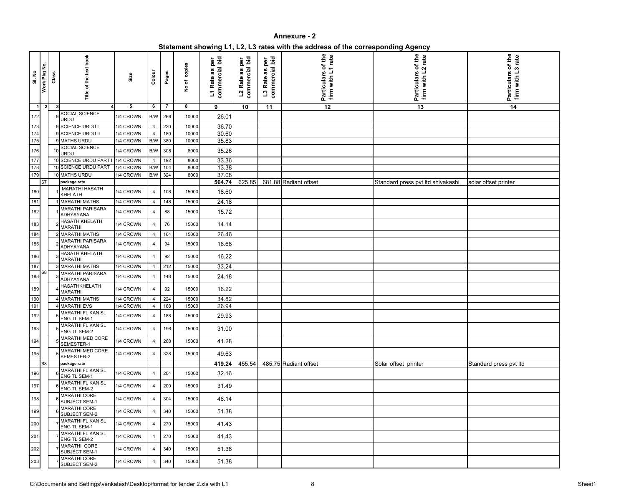| Statement showing L1, L2, L3 rates with the address of the corresponding Agency |  |
|---------------------------------------------------------------------------------|--|
|                                                                                 |  |

| SI. No                  | Work Pkg No.   | Class        | Title of the text book                   | Size      | Colour         | Pages | copies<br>No of | commercial bid<br>per<br>ဖာ<br>a<br>L1 Rate | L2 Rate as per<br>commercial bid<br>L <sub>2</sub> Rate | commercial bid<br>per<br>3e<br>L <sub>3</sub> Rate | of the<br>1 rate<br>firm with L<br>Particulars | of the<br>2 rate<br>firm with L<br><b>Particulars</b> | Particulars of the<br>firm with L3 rate |
|-------------------------|----------------|--------------|------------------------------------------|-----------|----------------|-------|-----------------|---------------------------------------------|---------------------------------------------------------|----------------------------------------------------|------------------------------------------------|-------------------------------------------------------|-----------------------------------------|
| $\overline{\mathbf{1}}$ | $\overline{2}$ | $\mathbf{3}$ |                                          | 5         | 6              | 7     | 8               | 9                                           | 10                                                      | 11                                                 | 12                                             | 13                                                    | $\overline{14}$                         |
| 172                     |                |              | SOCIAL SCIENCE<br>URDU                   | 1/4 CROWN | B/W            | 266   | 10000           | 26.01                                       |                                                         |                                                    |                                                |                                                       |                                         |
| 173                     |                |              | 9 SCIENCE URDU I                         | 1/4 CROWN | 4              | 220   | 10000           | 36.70                                       |                                                         |                                                    |                                                |                                                       |                                         |
| 174                     |                |              | 9 SCIENCE URDU II                        | 1/4 CROWN | 4              | 180   | 10000           | 30.60                                       |                                                         |                                                    |                                                |                                                       |                                         |
| 175                     |                |              | 9 MATHS URDU                             | 1/4 CROWN | B/W            | 380   | 10000           | 35.83                                       |                                                         |                                                    |                                                |                                                       |                                         |
| 176                     |                |              | SOCIAL SCIENCE<br>URDU                   | 1/4 CROWN | B/W            | 308   | 8000            | 35.26                                       |                                                         |                                                    |                                                |                                                       |                                         |
| $177$                   |                |              | 10 SCIENCE URDU PART                     | 1/4 CROWN | 4              | 192   | 8000            | 33.36                                       |                                                         |                                                    |                                                |                                                       |                                         |
| 178<br>179              |                |              | 10 SCIENCE URDU PART                     | 1/4 CROWN | B/W            | 104   | 8000            | 13.38                                       |                                                         |                                                    |                                                |                                                       |                                         |
|                         | 67             |              | 10 MATHS URDU<br>package rate            | 1/4 CROWN | B/W            | 324   | 8000            | 37.08<br>564.74                             | 625.85                                                  |                                                    | 681.88 Radiant offset                          | Standard press pvt Itd shivakashi                     | solar offset printer                    |
|                         |                |              | <b>MARATHI HASATH</b>                    |           |                |       |                 |                                             |                                                         |                                                    |                                                |                                                       |                                         |
| 180                     |                |              | KHELATH                                  | 1/4 CROWN | 4              | 108   | 15000           | 18.60                                       |                                                         |                                                    |                                                |                                                       |                                         |
| 181                     |                |              | <b>MARATHI MATHS</b>                     | 1/4 CROWN | $\overline{4}$ | 148   | 15000           | 24.18                                       |                                                         |                                                    |                                                |                                                       |                                         |
| 182                     |                |              | <b>MARATHI PARISARA</b><br>ADHYAYANA     | 1/4 CROWN | 4              | 88    | 15000           | 15.72                                       |                                                         |                                                    |                                                |                                                       |                                         |
| 183                     |                |              | HASATH KHELATH<br><b>MARATHI</b>         | 1/4 CROWN | 4              | 76    | 15000           | 14.14                                       |                                                         |                                                    |                                                |                                                       |                                         |
| 184                     |                |              | 2 MARATHI MATHS                          | 1/4 CROWN | 4              | 164   | 15000           | 26.46                                       |                                                         |                                                    |                                                |                                                       |                                         |
| 185                     |                |              | <b>MARATHI PARISARA</b><br>ADHYAYANA     | 1/4 CROWN | 4              | 94    | 15000           | 16.68                                       |                                                         |                                                    |                                                |                                                       |                                         |
| 186                     |                |              | <b>HASATH KHELATH</b><br><b>MARATHI</b>  | 1/4 CROWN | 4              | 92    | 15000           | 16.22                                       |                                                         |                                                    |                                                |                                                       |                                         |
| 187                     |                |              | MARATHI MATHS                            | 1/4 CROWN | 4              | 212   | 15000           | 33.24                                       |                                                         |                                                    |                                                |                                                       |                                         |
| 188                     | 68             |              | <b>MARATHI PARISARA</b><br>ADHYAYANA     | 1/4 CROWN | 4              | 148   | 15000           | 24.18                                       |                                                         |                                                    |                                                |                                                       |                                         |
| 189                     |                |              | <b>HASATHKHELATH</b><br><b>MARATHI</b>   | 1/4 CROWN | 4              | 92    | 15000           | 16.22                                       |                                                         |                                                    |                                                |                                                       |                                         |
| 190                     |                |              | 4 MARATHI MATHS                          | 1/4 CROWN | 4              | 224   | 15000           | 34.82                                       |                                                         |                                                    |                                                |                                                       |                                         |
| 191                     |                |              | 4 MARATHI EVS                            | 1/4 CROWN | 4              | 168   | 15000           | 26.94                                       |                                                         |                                                    |                                                |                                                       |                                         |
| 192                     |                |              | MARATHI FL KAN SL<br><b>ENG TL SEM-1</b> | 1/4 CROWN | 4              | 188   | 15000           | 29.93                                       |                                                         |                                                    |                                                |                                                       |                                         |
| 193                     |                |              | MARATHI FL KAN SL<br>ENG TL SEM-2        | 1/4 CROWN | 4              | 196   | 15000           | 31.00                                       |                                                         |                                                    |                                                |                                                       |                                         |
| 194                     |                |              | <b>MARATHI MED CORE</b><br>SEMESTER-1    | 1/4 CROWN | 4              | 268   | 15000           | 41.28                                       |                                                         |                                                    |                                                |                                                       |                                         |
| 195                     |                |              | <b>MARATHI MED CORE</b><br>SEMESTER-2    | 1/4 CROWN | 4              | 328   | 15000           | 49.63                                       |                                                         |                                                    |                                                |                                                       |                                         |
|                         | 68             |              | package rate                             |           |                |       |                 | 419.24                                      | 455.54                                                  |                                                    | 485.75 Radiant offset                          | Solar offset printer                                  | Standard press pvt Itd                  |
| 196                     |                |              | MARATHI FL KAN SL<br>ENG TL SEM-1        | 1/4 CROWN | 4              | 204   | 15000           | 32.16                                       |                                                         |                                                    |                                                |                                                       |                                         |
| 197                     |                |              | MARATHI FL KAN SL<br>ENG TL SEM-2        | 1/4 CROWN | 4              | 200   | 15000           | 31.49                                       |                                                         |                                                    |                                                |                                                       |                                         |
| 198                     |                |              | <b>MARATHI CORE</b><br>SUBJECT SEM-1     | 1/4 CROWN | 4              | 304   | 15000           | 46.14                                       |                                                         |                                                    |                                                |                                                       |                                         |
| 199                     |                |              | <b>MARATHI CORE</b><br>SUBJECT SEM-2     | 1/4 CROWN | 4              | 340   | 15000           | 51.38                                       |                                                         |                                                    |                                                |                                                       |                                         |
| 200                     |                |              | MARATHI FL KAN SL<br>ENG TL SEM-1        | 1/4 CROWN | 4              | 270   | 15000           | 41.43                                       |                                                         |                                                    |                                                |                                                       |                                         |
| 201                     |                |              | MARATHI FL KAN SL<br>ENG TL SEM-2        | 1/4 CROWN | 4              | 270   | 15000           | 41.43                                       |                                                         |                                                    |                                                |                                                       |                                         |
| 202                     |                |              | MARATHI CORE<br>SUBJECT SEM-1            | 1/4 CROWN | 4              | 340   | 15000           | 51.38                                       |                                                         |                                                    |                                                |                                                       |                                         |
| 203                     |                |              | <b>MARATHI CORE</b><br>SUBJECT SEM-2     | 1/4 CROWN | 4              | 340   | 15000           | 51.38                                       |                                                         |                                                    |                                                |                                                       |                                         |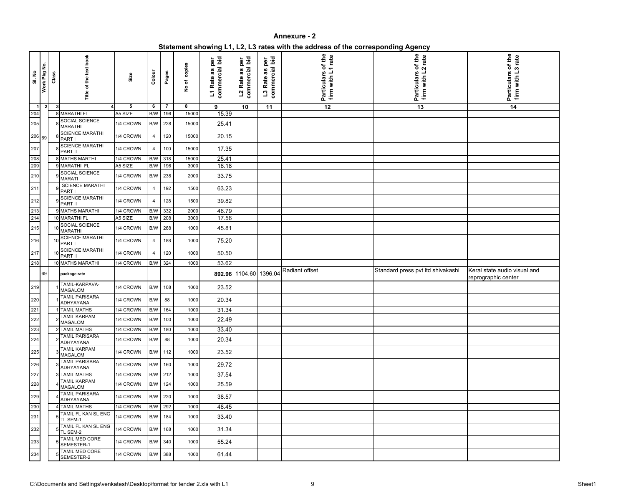| Statement showing L1, L2, L3 rates with the address of the corresponding Agency |  |
|---------------------------------------------------------------------------------|--|
|                                                                                 |  |

| <b>SI. No</b>  | Work Pkg No. | Class | Title of the text book                    | Size      | Colour                  | Pages          | No of copies | commercial bid<br>per<br>as<br>L1 Rate | commercial bid<br>per<br>as<br>L <sub>2</sub> Rate | commercial bid<br>per<br>as<br>L <sub>3</sub> Rate | of the<br>.1 rate<br>firm with L<br>Particulars | of the<br>rate<br>firm with L2<br><b>Particulars</b> | Particulars of the<br>firm with L3 rate             |
|----------------|--------------|-------|-------------------------------------------|-----------|-------------------------|----------------|--------------|----------------------------------------|----------------------------------------------------|----------------------------------------------------|-------------------------------------------------|------------------------------------------------------|-----------------------------------------------------|
| $\overline{1}$ | $\mathbf{2}$ | 3     |                                           | 5         | 6                       | $\overline{7}$ | 8            | 9                                      | 10                                                 | 11                                                 | $\overline{12}$                                 | 13                                                   | $\overline{14}$                                     |
| 204            |              |       | 8 MARATHI FL                              | A5 SIZE   | $\mathsf{B}/\mathsf{W}$ | 196            | 15000        | 15.39                                  |                                                    |                                                    |                                                 |                                                      |                                                     |
| 205            |              |       | SOCIAL SCIENCE<br><b>MARATHI</b>          | 1/4 CROWN | $\mathsf{B}/\mathsf{W}$ | 228            | 15000        | 25.41                                  |                                                    |                                                    |                                                 |                                                      |                                                     |
| 206 69         |              |       | <b>SCIENCE MARATHI</b><br>PART I          | 1/4 CROWN | 4                       | 120            | 15000        | 20.15                                  |                                                    |                                                    |                                                 |                                                      |                                                     |
| 207            |              |       | <b>SCIENCE MARATHI</b><br>PART II         | 1/4 CROWN | 4                       | 100            | 15000        | 17.35                                  |                                                    |                                                    |                                                 |                                                      |                                                     |
| 208            |              |       | <b>8 MATHS MARTHI</b>                     | 1/4 CROWN | $\mathsf{B}/\mathsf{W}$ | 318            | 15000        | 25.41                                  |                                                    |                                                    |                                                 |                                                      |                                                     |
| 209            |              |       | 9 MARATHI FL<br>SOCIAL SCIENCE            | A5 SIZE   | B/W                     | 196            | 3000         | 16.18                                  |                                                    |                                                    |                                                 |                                                      |                                                     |
| 210            |              |       | <b>MARATI</b><br><b>SCIENCE MARATHI</b>   | 1/4 CROWN | $\mathsf{B}/\mathsf{W}$ | 238            | 2000         | 33.75                                  |                                                    |                                                    |                                                 |                                                      |                                                     |
| 211            |              |       | PART I                                    | 1/4 CROWN | 4                       | 192            | 1500         | 63.23                                  |                                                    |                                                    |                                                 |                                                      |                                                     |
| 212            |              |       | <b>SCIENCE MARATHI</b><br>PART II         | 1/4 CROWN | 4                       | 128            | 1500         | 39.82                                  |                                                    |                                                    |                                                 |                                                      |                                                     |
| 213            |              |       | <b>MATHS MARATHI</b>                      | 1/4 CROWN | $\mathsf{B}/\mathsf{W}$ | 332            | 2000         | 46.79                                  |                                                    |                                                    |                                                 |                                                      |                                                     |
| 214            |              |       | 10 MARATHI FL                             | A5 SIZE   | B/W                     | 208            | 3000         | 17.56                                  |                                                    |                                                    |                                                 |                                                      |                                                     |
| 215            |              |       | SOCIAL SCIENCE<br><b>MARATHI</b>          | 1/4 CROWN | B/W                     | 268            | 1000         | 45.81                                  |                                                    |                                                    |                                                 |                                                      |                                                     |
| 216            |              |       | <b>SCIENCE MARATHI</b><br>PART I          | 1/4 CROWN | 4                       | 188            | 1000         | 75.20                                  |                                                    |                                                    |                                                 |                                                      |                                                     |
| 217            |              |       | <b>SCIENCE MARATHI</b><br>PART II         | 1/4 CROWN | 4                       | 120            | 1000         | 50.50                                  |                                                    |                                                    |                                                 |                                                      |                                                     |
| 218            |              |       | 10 MATHS MARATHI                          | 1/4 CROWN | B/W                     | 324            | 1000         | 53.62                                  |                                                    |                                                    |                                                 |                                                      |                                                     |
|                | 69           |       | package rate                              |           |                         |                |              |                                        | 892.96 1104.60 1396.04                             |                                                    | Radiant offset                                  | Standard press pvt Itd shivakashi                    | Keral state audio visual and<br>reprographic center |
| 219            |              |       | TAMIL-KARPAVA-<br><b>MAGALOM</b>          | 1/4 CROWN | B/W                     | 108            | 1000         | 23.52                                  |                                                    |                                                    |                                                 |                                                      |                                                     |
| 220            |              |       | <b>TAMIL PARISARA</b><br>ADHYAYANA        | 1/4 CROWN | B/W                     | 88             | 1000         | 20.34                                  |                                                    |                                                    |                                                 |                                                      |                                                     |
| 221            |              |       | 1 TAMIL MATHS                             | 1/4 CROWN | B/W 164                 |                | 1000         | 31.34                                  |                                                    |                                                    |                                                 |                                                      |                                                     |
| 222            |              |       | <b>TAMIL KARPAM</b><br><b>MAGALOM</b>     | 1/4 CROWN |                         | B/W 100        | 1000         | 22.49                                  |                                                    |                                                    |                                                 |                                                      |                                                     |
| 223            |              |       | 2 TAMIL MATHS                             | 1/4 CROWN |                         | B/W 180        | 1000         | 33.40                                  |                                                    |                                                    |                                                 |                                                      |                                                     |
| 224            |              |       | <b>TAMIL PARISARA</b><br>ADHYAYANA        | 1/4 CROWN | B/W 88                  |                | 1000         | 20.34                                  |                                                    |                                                    |                                                 |                                                      |                                                     |
| 225            |              |       | <b>TAMIL KARPAM</b><br><b>MAGALOM</b>     | 1/4 CROWN |                         | B/W 112        | 1000         | 23.52                                  |                                                    |                                                    |                                                 |                                                      |                                                     |
| 226            |              |       | <b>TAMIL PARISARA</b><br><b>ADHYAYANA</b> | 1/4 CROWN |                         | B/W 160        | 1000         | 29.72                                  |                                                    |                                                    |                                                 |                                                      |                                                     |
| 227            |              |       | <b>3 TAMIL MATHS</b>                      | 1/4 CROWN |                         | B/W 212        | 1000         | 37.54                                  |                                                    |                                                    |                                                 |                                                      |                                                     |
| 228            |              |       | <b>TAMIL KARPAM</b><br><b>MAGALOM</b>     | 1/4 CROWN |                         | B/W 124        | 1000         | 25.59                                  |                                                    |                                                    |                                                 |                                                      |                                                     |
| 229            |              |       | <b>TAMIL PARISARA</b><br>ADHYAYANA        | 1/4 CROWN |                         | B/W 220        | 1000         | 38.57                                  |                                                    |                                                    |                                                 |                                                      |                                                     |
| 230            |              |       | 4 TAMIL MATHS                             | 1/4 CROWN | B/W                     | 292            | 1000         | 48.45                                  |                                                    |                                                    |                                                 |                                                      |                                                     |
| 231            |              |       | TAMIL FL KAN SL ENG<br>TL SEM-1           | 1/4 CROWN |                         | B/W 184        | 1000         | 33.40                                  |                                                    |                                                    |                                                 |                                                      |                                                     |
| 232            |              |       | TAMIL FL KAN SL ENG<br>TL SEM-2           | 1/4 CROWN |                         | B/W 168        | 1000         | 31.34                                  |                                                    |                                                    |                                                 |                                                      |                                                     |
| 233            |              |       | TAMIL MED CORE<br>SEMESTER-1              | 1/4 CROWN |                         | B/W 340        | 1000         | 55.24                                  |                                                    |                                                    |                                                 |                                                      |                                                     |
| 234            |              |       | TAMIL MED CORE<br>SEMESTER-2              | 1/4 CROWN |                         | B/W 388        | 1000         | 61.44                                  |                                                    |                                                    |                                                 |                                                      |                                                     |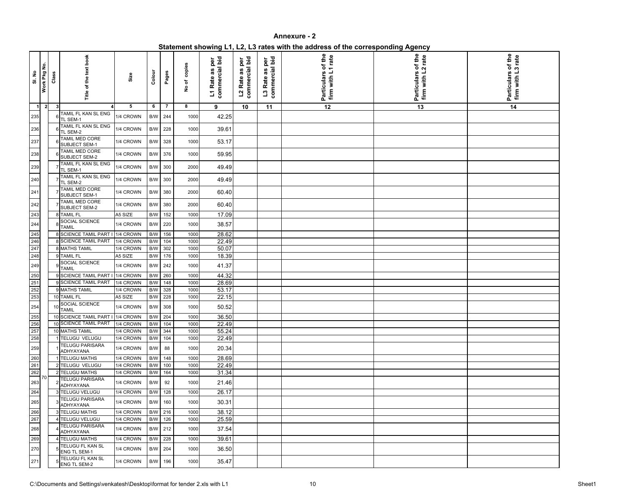| Statement showing L1, L2, L3 rates with the address of the corresponding Agency |  |  |
|---------------------------------------------------------------------------------|--|--|
|                                                                                 |  |  |

| SI. No                   | Work Pkg No.   | Class | Title of the text book                  | Size      | Colour                  | Pages          | No of copies | commercial bid<br>per<br>as<br>L1 Rate | ∟∠ rate as per<br>commercial bid | commercial bid<br>per<br>as<br>L <sub>3</sub> Rate | of the<br>firm with L1 rate<br><b>Particulars</b> | of the<br>rate<br>firm with L2<br><b>Particulars</b> | Particulars of the<br>rate<br>firm with |
|--------------------------|----------------|-------|-----------------------------------------|-----------|-------------------------|----------------|--------------|----------------------------------------|----------------------------------|----------------------------------------------------|---------------------------------------------------|------------------------------------------------------|-----------------------------------------|
| $\vert$ 1                | $\overline{2}$ |       |                                         | 5         | 6                       | $\overline{7}$ | 8            | 9                                      | 10                               | 11                                                 | $\overline{12}$                                   | 13                                                   | 14                                      |
| 235                      |                |       | TAMIL FL KAN SL ENG<br>TL SEM-1         | 1/4 CROWN | B/W 244                 |                | 1000         | 42.25                                  |                                  |                                                    |                                                   |                                                      |                                         |
| 236                      |                |       | TAMIL FL KAN SL ENG<br>TL SEM-2         | 1/4 CROWN | B/W 228                 |                | 1000         | 39.61                                  |                                  |                                                    |                                                   |                                                      |                                         |
| 237                      |                |       | TAMIL MED CORE<br>SUBJECT SEM-1         | 1/4 CROWN | B/W 328                 |                | 1000         | 53.17                                  |                                  |                                                    |                                                   |                                                      |                                         |
| 238                      |                |       | TAMIL MED CORE<br><b>SUBJECT SEM-2</b>  | 1/4 CROWN | B/W 376                 |                | 1000         | 59.95                                  |                                  |                                                    |                                                   |                                                      |                                         |
| 239                      |                |       | TAMIL FL KAN SL ENG<br>TL SEM-1         | 1/4 CROWN | B/W 300                 |                | 2000         | 49.49                                  |                                  |                                                    |                                                   |                                                      |                                         |
| 240                      |                |       | TAMIL FL KAN SL ENG<br>TL SEM-2         | 1/4 CROWN | B/W 300                 |                | 2000         | 49.49                                  |                                  |                                                    |                                                   |                                                      |                                         |
| 241                      |                |       | TAMIL MED CORE<br>SUBJECT SEM-1         | 1/4 CROWN | B/W 380                 |                | 2000         | 60.40                                  |                                  |                                                    |                                                   |                                                      |                                         |
| 242                      |                |       | TAMIL MED CORE<br>SUBJECT SEM-2         | 1/4 CROWN | B/W 380                 |                | 2000         | 60.40                                  |                                  |                                                    |                                                   |                                                      |                                         |
| 243                      |                |       | 8 TAMIL FL                              | A5 SIZE   | B/W                     | 152            | 1000         | 17.09                                  |                                  |                                                    |                                                   |                                                      |                                         |
| $244\,$                  |                |       | SOCIAL SCIENCE<br><b>TAMIL</b>          | 1/4 CROWN | B/W 220                 |                | 1000         | 38.57                                  |                                  |                                                    |                                                   |                                                      |                                         |
| 245<br>246<br>247<br>248 |                |       | <b>8 SCIENCE TAMIL PART</b>             | 1/4 CROWN | B/W                     | 156            | 1000         | 28.62                                  |                                  |                                                    |                                                   |                                                      |                                         |
|                          |                |       | <b>8 SCIENCE TAMIL PART</b>             | 1/4 CROWN | B/W                     | 104            | 1000         | 22.49                                  |                                  |                                                    |                                                   |                                                      |                                         |
|                          |                |       | <b>8 MATHS TAMIL</b>                    | 1/4 CROWN | $\mathsf{B}/\mathsf{W}$ | 302            | 1000         | 50.07                                  |                                  |                                                    |                                                   |                                                      |                                         |
|                          |                |       | <b>TAMIL FL</b>                         | A5 SIZE   | B/W                     | 176            | 1000         | 18.39                                  |                                  |                                                    |                                                   |                                                      |                                         |
| 249                      |                |       | SOCIAL SCIENCE<br><b>TAMIL</b>          | 1/4 CROWN | B/W 242                 |                | 1000         | 41.37                                  |                                  |                                                    |                                                   |                                                      |                                         |
| 250<br>251<br>252<br>253 |                |       | 9 SCIENCE TAMIL PART                    | 1/4 CROWN | B/W                     | 260            | 1000         | 44.32                                  |                                  |                                                    |                                                   |                                                      |                                         |
|                          |                |       | 9 SCIENCE TAMIL PART                    | 1/4 CROWN | B/W                     | 148            | 1000         | 28.69                                  |                                  |                                                    |                                                   |                                                      |                                         |
|                          |                |       | 9 MATHS TAMIL                           | 1/4 CROWN | B/W                     | 328            | 1000         | 53.17                                  |                                  |                                                    |                                                   |                                                      |                                         |
|                          |                |       | 10 TAMIL FL                             | A5 SIZE   | B/W                     | 228            | 1000         | 22.15                                  |                                  |                                                    |                                                   |                                                      |                                         |
| 254                      |                |       | SOCIAL SCIENCE<br>$10$ TAMIL            | 1/4 CROWN | B/W 308                 |                | 1000         | 50.52                                  |                                  |                                                    |                                                   |                                                      |                                         |
|                          |                |       | 10 SCIENCE TAMIL PART I 1/4 CROWN       |           | B/W 204                 |                | 1000         | 36.50                                  |                                  |                                                    |                                                   |                                                      |                                         |
| 255<br>256<br>257<br>258 |                |       | 10 SCIENCE TAMIL PART                   | 1/4 CROWN | B/W                     | 104            | 1000         | 22.49                                  |                                  |                                                    |                                                   |                                                      |                                         |
|                          |                |       | 10 MATHS TAMIL                          | 1/4 CROWN | B/W                     | 344            | 1000         | 55.24                                  |                                  |                                                    |                                                   |                                                      |                                         |
|                          |                |       | 1 TELUGU VELUGU                         | 1/4 CROWN | B/W                     | 104            | 1000         | 22.49                                  |                                  |                                                    |                                                   |                                                      |                                         |
| 259                      |                |       | <b>TELUGU PARISARA</b><br>ADHYAYANA     | 1/4 CROWN | <b>B/W</b>              | 88             | 1000         | 20.34                                  |                                  |                                                    |                                                   |                                                      |                                         |
|                          |                |       | 1 TELUGU MATHS                          | 1/4 CROWN | B/W                     | 148            | 1000         | 28.69                                  |                                  |                                                    |                                                   |                                                      |                                         |
|                          |                |       | 2 TELUGU VELUGU                         | 1/4 CROWN | B/W                     | 100            | 1000         | 22.49                                  |                                  |                                                    |                                                   |                                                      |                                         |
| 260<br>261<br>262        |                |       | 2 TELUGU MATHS                          | 1/4 CROWN | B/W                     | 164            | 1000         | 31.34                                  |                                  |                                                    |                                                   |                                                      |                                         |
| 263                      | 70             |       | <b>TELUGU PARISARA</b><br>ADHYAYANA     | 1/4 CROWN | B/W                     | 92             | 1000         | 21.46                                  |                                  |                                                    |                                                   |                                                      |                                         |
| 264                      |                |       | 3 TELUGU VELUGU                         | 1/4 CROWN | B/W                     | 128            | 1000         | 26.17                                  |                                  |                                                    |                                                   |                                                      |                                         |
| 265                      |                |       | <b>TELUGU PARISARA</b><br>ADHYAYANA     | 1/4 CROWN | B/W 160                 |                | 1000         | 30.31                                  |                                  |                                                    |                                                   |                                                      |                                         |
|                          |                |       | 3 TELUGU MATHS                          | 1/4 CROWN |                         | B/W 216        | 1000         | 38.12                                  |                                  |                                                    |                                                   |                                                      |                                         |
| 266<br>267               |                |       | <b>TELUGU VELUGU</b>                    | 1/4 CROWN | B/W                     | 126            | 1000         | 25.59                                  |                                  |                                                    |                                                   |                                                      |                                         |
| 268                      |                |       | <b>TELUGU PARISARA</b><br>ADHYAYANA     | 1/4 CROWN | B/W 212                 |                | 1000         | 37.54                                  |                                  |                                                    |                                                   |                                                      |                                         |
| 269                      |                |       | 4 TELUGU MATHS                          | 1/4 CROWN |                         | B/W 228        | 1000         | 39.61                                  |                                  |                                                    |                                                   |                                                      |                                         |
| 270                      |                |       | TELUGU FL KAN SL<br><b>ENG TL SEM-1</b> | 1/4 CROWN | B/W 204                 |                | 1000         | 36.50                                  |                                  |                                                    |                                                   |                                                      |                                         |
| 271                      |                |       | TELUGU FL KAN SL<br><b>ENG TL SEM-2</b> | 1/4 CROWN |                         | B/W 196        | 1000         | 35.47                                  |                                  |                                                    |                                                   |                                                      |                                         |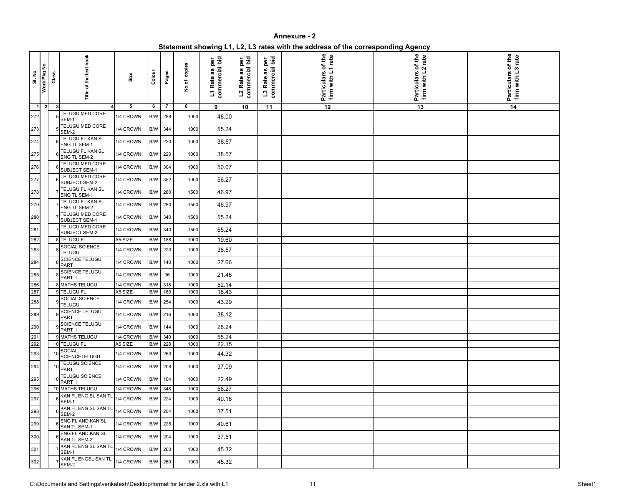| Statement showing L1, L2, L3 rates with the address of the corresponding Agency |  |
|---------------------------------------------------------------------------------|--|
|                                                                                 |  |

| <b>SI. No</b>  | Work Pkg No.   | Class | Title of the text book                         | Size      | Colour                  | Pages          | copies<br>No of | commercial bid<br>per<br>as<br>L1 Rate | commercial bid<br>per<br>as<br>L <sub>2</sub> Rate | commercial bid<br>per<br>as<br>L <sub>3</sub> Rate | Particulars of the<br>firm with L1 rate | of the<br>rate<br><b>Particulars</b><br>firm with L | of the<br>rate<br>S<br><b>Particulars</b><br>firm with I |
|----------------|----------------|-------|------------------------------------------------|-----------|-------------------------|----------------|-----------------|----------------------------------------|----------------------------------------------------|----------------------------------------------------|-----------------------------------------|-----------------------------------------------------|----------------------------------------------------------|
| $\overline{1}$ | $\overline{2}$ | 3     | TELUGU MED CORE                                | 5         | 6                       | $\overline{7}$ | 8               | 9                                      | 10                                                 | 11                                                 | 12                                      | 13                                                  | 14                                                       |
| 272            |                |       | SEM-1                                          | 1/4 CROWN | B/W                     | 288            | 1000            | 48.00                                  |                                                    |                                                    |                                         |                                                     |                                                          |
| 273            |                |       | TELUGU MED CORE<br>SEM-2                       | 1/4 CROWN | $\mathsf{B}/\mathsf{W}$ | 344            | 1000            | 55.24                                  |                                                    |                                                    |                                         |                                                     |                                                          |
| 274            |                |       | <b>TELUGU FL KAN SL</b><br><b>ENG TL SEM-1</b> | 1/4 CROWN | $\mathsf{B}/\mathsf{W}$ | 220            | 1000            | 38.57                                  |                                                    |                                                    |                                         |                                                     |                                                          |
| 275            |                |       | TELUGU FL KAN SL<br><b>ENG TL SEM-2</b>        | 1/4 CROWN | B/W                     | 220            | 1000            | 38.57                                  |                                                    |                                                    |                                         |                                                     |                                                          |
| 276            |                |       | <b>TELUGU MED CORE</b><br>SUBJECT SEM-1        | 1/4 CROWN | B/W                     | 304            | 1000            | 50.07                                  |                                                    |                                                    |                                         |                                                     |                                                          |
| 277            |                |       | <b>TELUGU MED CORE</b><br>SUBJECT SEM-2        | 1/4 CROWN | B/W                     | 352            | 1000            | 56.27                                  |                                                    |                                                    |                                         |                                                     |                                                          |
| 278            |                |       | TELUGU FL KAN SL<br><b>ENG TL SEM-1</b>        | 1/4 CROWN | B/W                     | 280            | 1500            | 46.97                                  |                                                    |                                                    |                                         |                                                     |                                                          |
| 279            |                |       | TELUGU FL KAN SL<br><b>ENG TL SEM-2</b>        | 1/4 CROWN | B/W                     | 280            | 1500            | 46.97                                  |                                                    |                                                    |                                         |                                                     |                                                          |
| 280            |                |       | TELUGU MED CORE<br>SUBJECT SEM-1               | 1/4 CROWN | B/W                     | 340            | 1500            | 55.24                                  |                                                    |                                                    |                                         |                                                     |                                                          |
| 281            |                |       | TELUGU MED CORE<br>SUBJECT SEM-2               | 1/4 CROWN | B/W                     | 340            | 1500            | 55.24                                  |                                                    |                                                    |                                         |                                                     |                                                          |
| 282            |                |       | 8 TELUGU FL                                    | A5 SIZE   | B/W                     | 188            | 1000            | 19.60                                  |                                                    |                                                    |                                         |                                                     |                                                          |
| 283            |                |       | SOCIAL SCIENCE<br><b>TELUGU</b>                | 1/4 CROWN | B/W                     | 220            | 1000            | 38.57                                  |                                                    |                                                    |                                         |                                                     |                                                          |
| 284            |                |       | SCIENCE TELUGU<br>PART I                       | 1/4 CROWN | B/W                     | 140            | 1000            | 27.66                                  |                                                    |                                                    |                                         |                                                     |                                                          |
| 285            |                |       | <b>SCIENCE TELUGU</b><br>PART II               | 1/4 CROWN | $\mathsf{B}/\mathsf{W}$ | 96             | 1000            | 21.46                                  |                                                    |                                                    |                                         |                                                     |                                                          |
| 286<br>287     |                |       | 8 MATHS TELUGU                                 | 1/4 CROWN | B/W                     | 318            | 1000            | 52.14                                  |                                                    |                                                    |                                         |                                                     |                                                          |
|                |                |       | 9 TELUGU FL                                    | A5 SIZE   | B/W                     | 180            | 1000            | 18.43                                  |                                                    |                                                    |                                         |                                                     |                                                          |
| 288<br>┍       |                |       | SOCIAL SCIENCE<br><b>TELUGU</b>                | 1/4 CROWN | B/W                     | 254            | 1000            | 43.29                                  |                                                    |                                                    |                                         |                                                     |                                                          |
| 289            |                |       | 9<br>PART I                                    | 1/4 CROWN | B/W 216                 |                | 1000            | 38.12                                  |                                                    |                                                    |                                         |                                                     |                                                          |
| 290            |                |       | SCIENCE TELUGU<br>PART II                      | 1/4 CROWN | B/W 144                 |                | 1000            | 28.24                                  |                                                    |                                                    |                                         |                                                     |                                                          |
| 291            |                |       | 9 MATHS TELUGU                                 | 1/4 CROWN | B/W                     | 340            | 1000            | 55.24                                  |                                                    |                                                    |                                         |                                                     |                                                          |
| 292            |                |       | 10 TELUGU FL                                   | A5 SIZE   | B/W                     | 228            | 1000            | 22.15                                  |                                                    |                                                    |                                         |                                                     |                                                          |
| 293            |                |       | <b>SOCIAL</b><br>SCIENCETELUGU                 | 1/4 CROWN | B/W                     | 260            | 1000            | 44.32                                  |                                                    |                                                    |                                         |                                                     |                                                          |
| 294            |                |       | TELUGU SCIENCE<br>PART I                       | 1/4 CROWN | B/W 208                 |                | 1000            | 37.09                                  |                                                    |                                                    |                                         |                                                     |                                                          |
| 295            |                |       | TELUGU SCIENCE<br>PART II                      | 1/4 CROWN | B/W 104                 |                | 1000            | 22.49                                  |                                                    |                                                    |                                         |                                                     |                                                          |
| 296            |                |       | 10 MATHS TELUGU                                | 1/4 CROWN | B/W 348                 |                | 1000            | 56.27                                  |                                                    |                                                    |                                         |                                                     |                                                          |
| 297            |                |       | KAN FL ENG SL SAN TL<br>SEM-1                  | 1/4 CROWN | B/W 224                 |                | 1000            | 40.16                                  |                                                    |                                                    |                                         |                                                     |                                                          |
| 298            |                |       | KAN FL ENG SL SAN TL<br>SEM-2                  | 1/4 CROWN | B/W 204                 |                | 1000            | 37.51                                  |                                                    |                                                    |                                         |                                                     |                                                          |
| 299            |                |       | <b>ENG FL AND KAN SL</b><br>SAN TL SEM-1       | 1/4 CROWN | B/W                     | 228            | 1000            | 40.61                                  |                                                    |                                                    |                                         |                                                     |                                                          |
| 300            |                |       | ENG FL AND KAN SL<br><b>SAN TL SEM-2</b>       | 1/4 CROWN | B/W 204                 |                | 1000            | 37.51                                  |                                                    |                                                    |                                         |                                                     |                                                          |
| 301            |                |       | KAN FL ENG SL SAN TL<br>SEM-1                  | 1/4 CROWN | B/W 260                 |                | 1000            | 45.32                                  |                                                    |                                                    |                                         |                                                     |                                                          |
| 302            |                |       | KAN FL ENGSL SAN TL<br>SEM-2                   | 1/4 CROWN | B/W 260                 |                | 1000            | 45.32                                  |                                                    |                                                    |                                         |                                                     |                                                          |